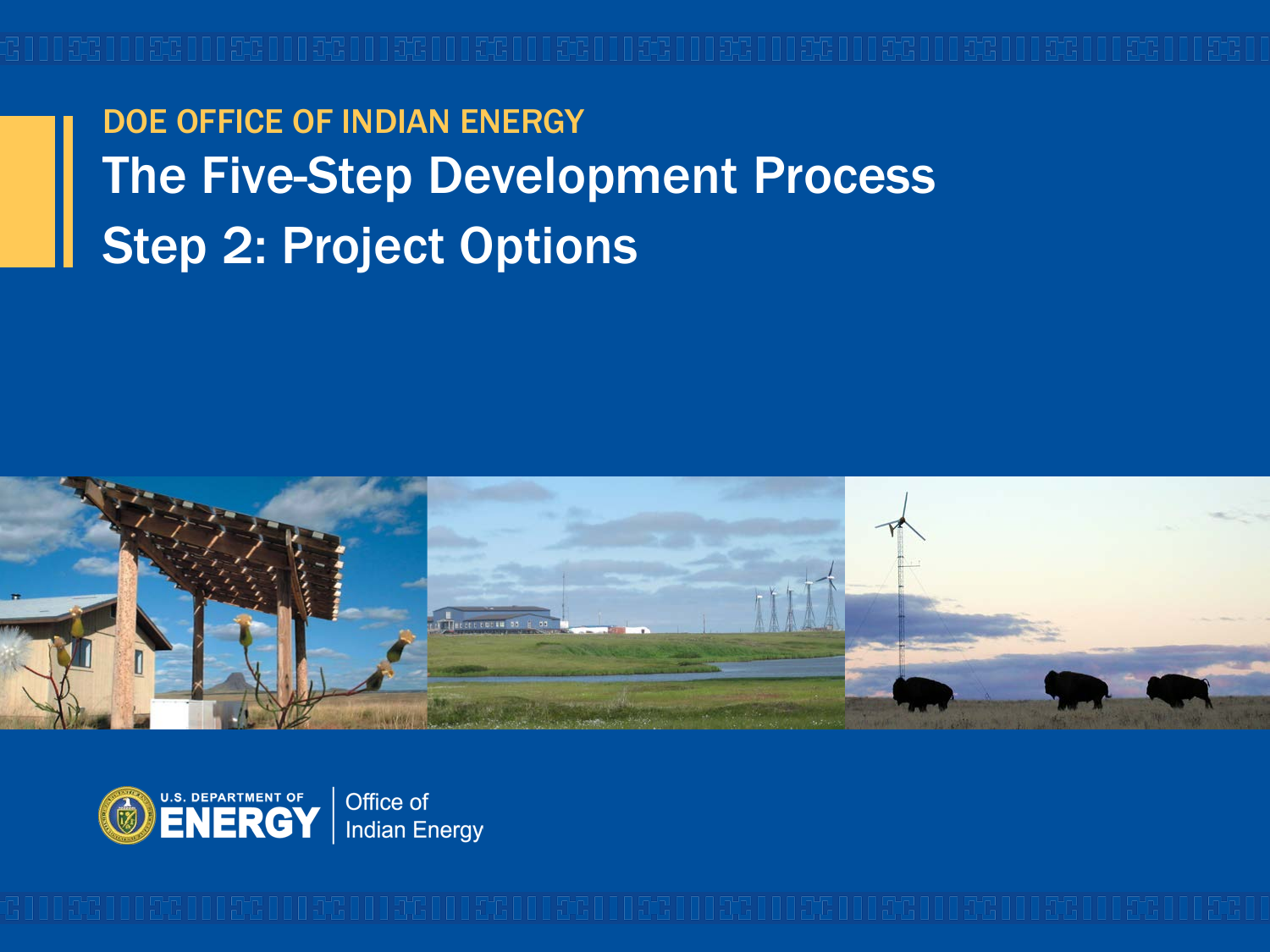DOE OFFICE OF INDIAN ENERGY The Five-Step Development Process Step 2: Project Options



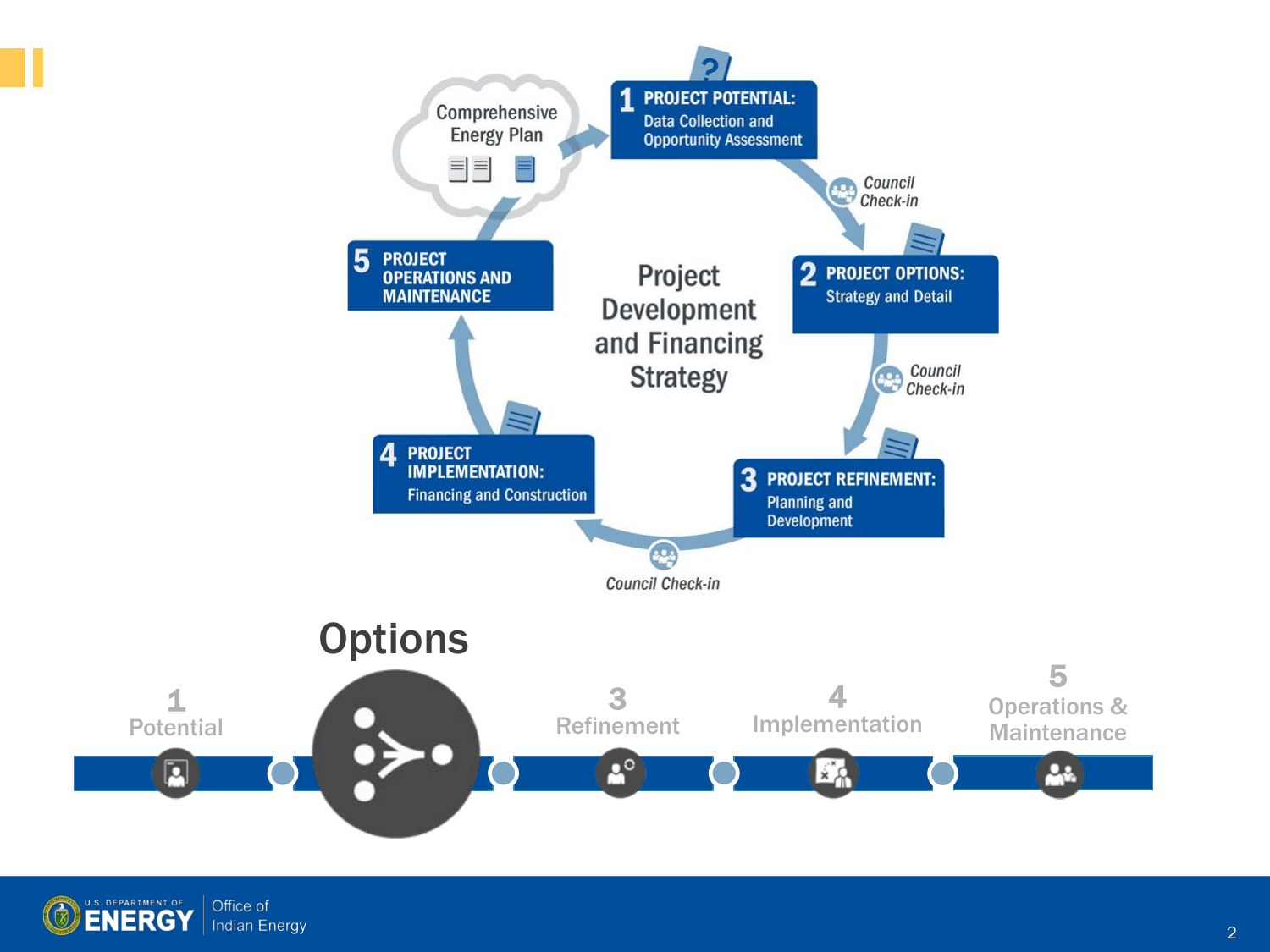

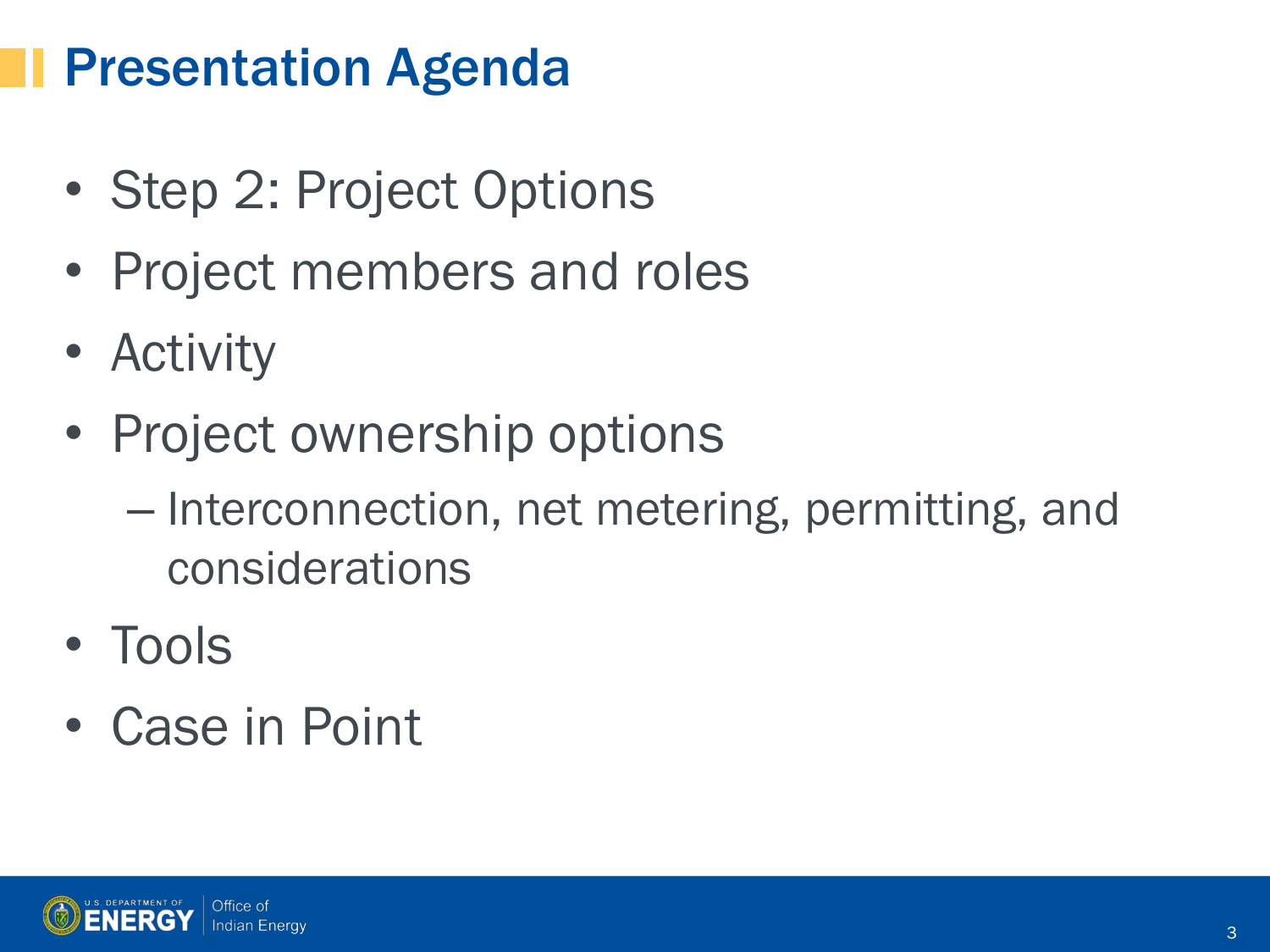### Presentation Agenda

- Step 2: Project Options
- Project members and roles
- Activity
- Project ownership options
	- Interconnection, net metering, permitting, and considerations
- Tools
- Case in Point

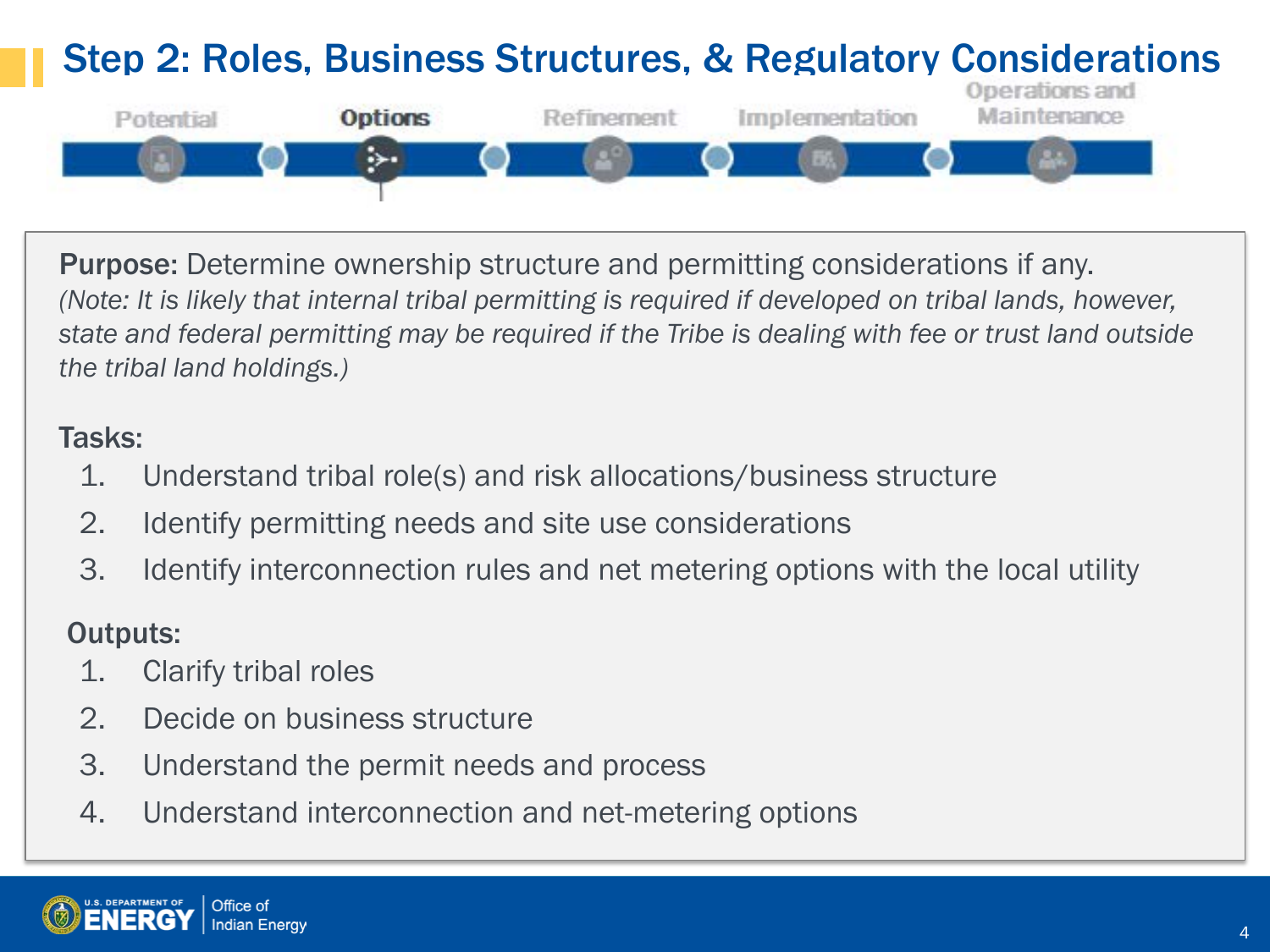#### Step 2: Roles, Business Structures, & Regulatory Considerations



Purpose: Determine ownership structure and permitting considerations if any. *(Note: It is likely that internal tribal permitting is required if developed on tribal lands, however, state and federal permitting may be required if the Tribe is dealing with fee or trust land outside the tribal land holdings.)*

#### Tasks:

- 1. Understand tribal role(s) and risk allocations/business structure
- 2. Identify permitting needs and site use considerations
- 3. Identify interconnection rules and net metering options with the local utility

#### Outputs:

- 1. Clarify tribal roles
- 2. Decide on business structure
- 3. Understand the permit needs and process
- 4. Understand interconnection and net-metering options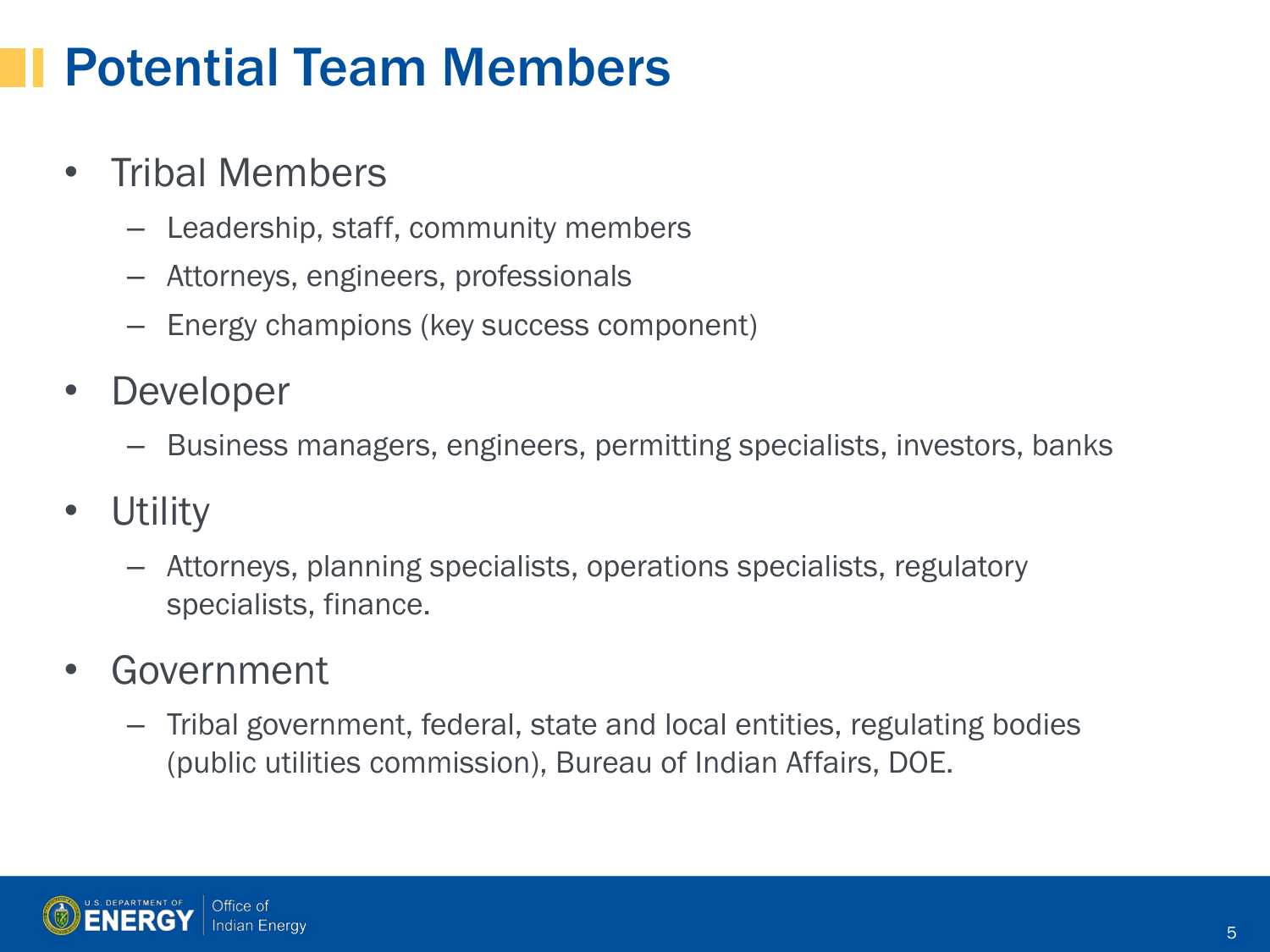### Potential Team Members

#### • Tribal Members

- Leadership, staff, community members
- Attorneys, engineers, professionals
- Energy champions (key success component)
- **Developer** 
	- Business managers, engineers, permitting specialists, investors, banks
- **Utility** 
	- Attorneys, planning specialists, operations specialists, regulatory specialists, finance.
- **Government** 
	- Tribal government, federal, state and local entities, regulating bodies (public utilities commission), Bureau of Indian Affairs, DOE.



5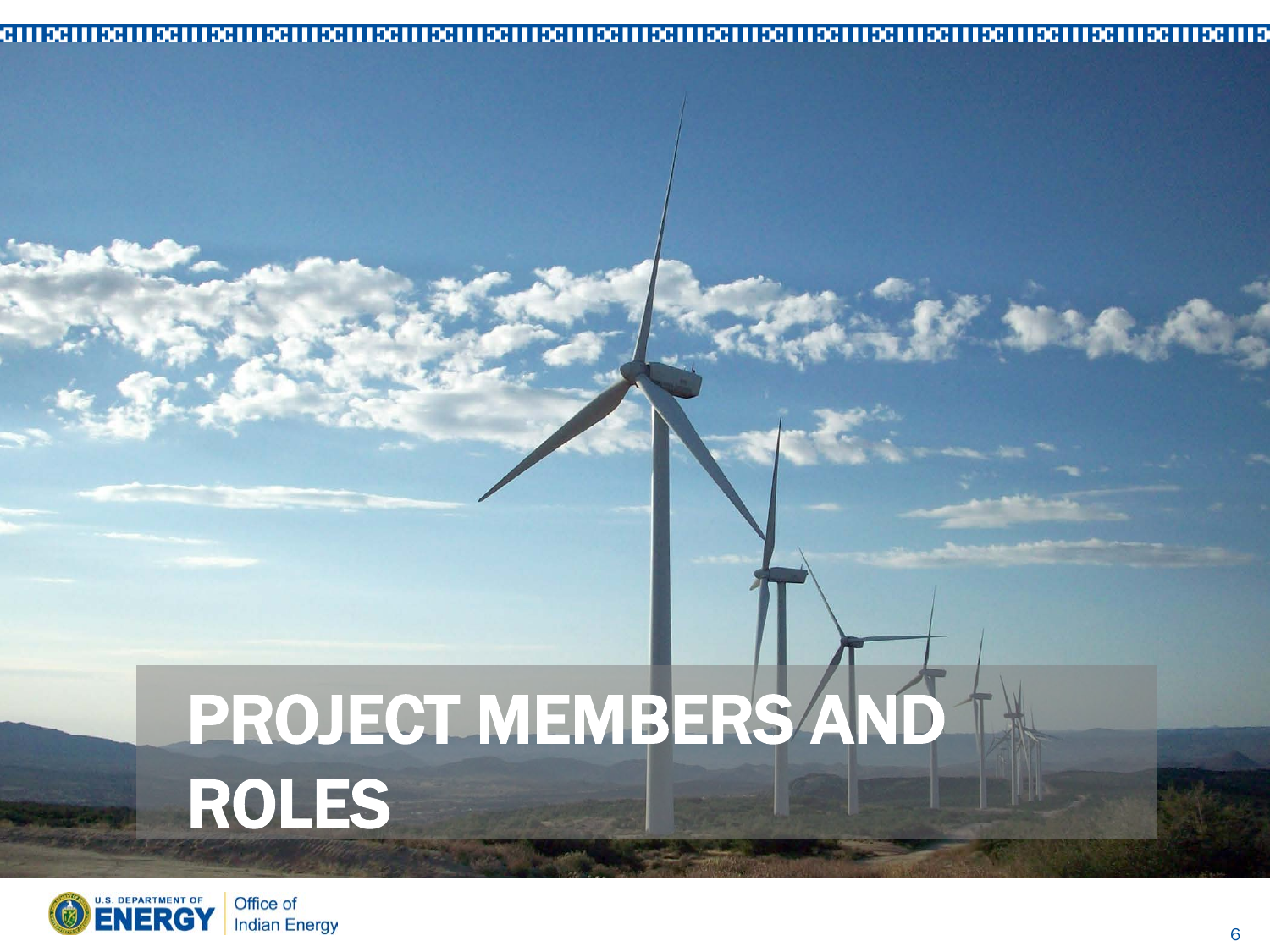#### 

# PROJECT MEMBERS AND ROLES



長崎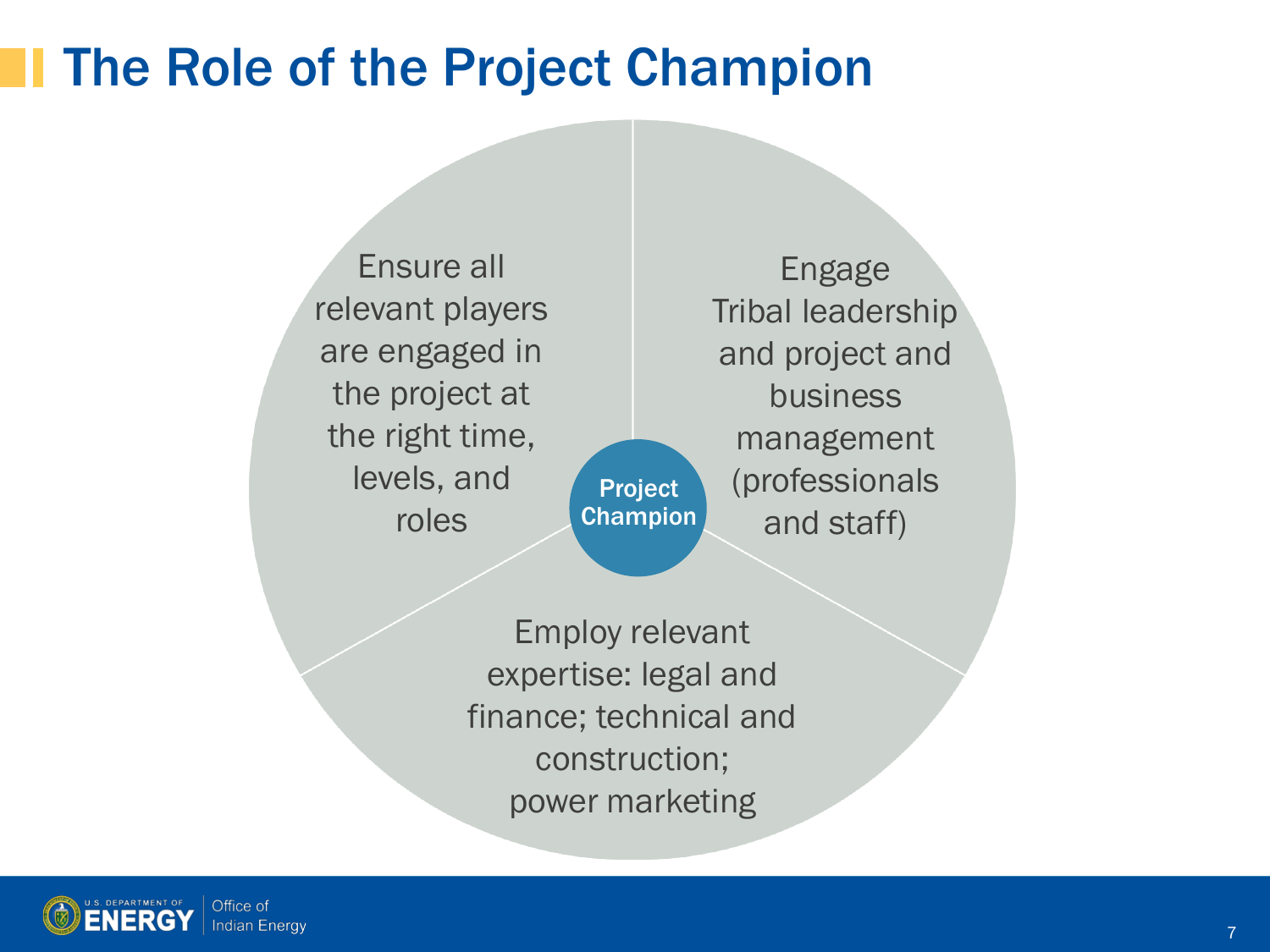### The Role of the Project Champion

Ensure all relevant players are engaged in the project at the right time, levels, and roles

Project Champion

Engage Tribal leadership and project and business management (professionals and staff)

Employ relevant expertise: legal and finance; technical and construction; power marketing

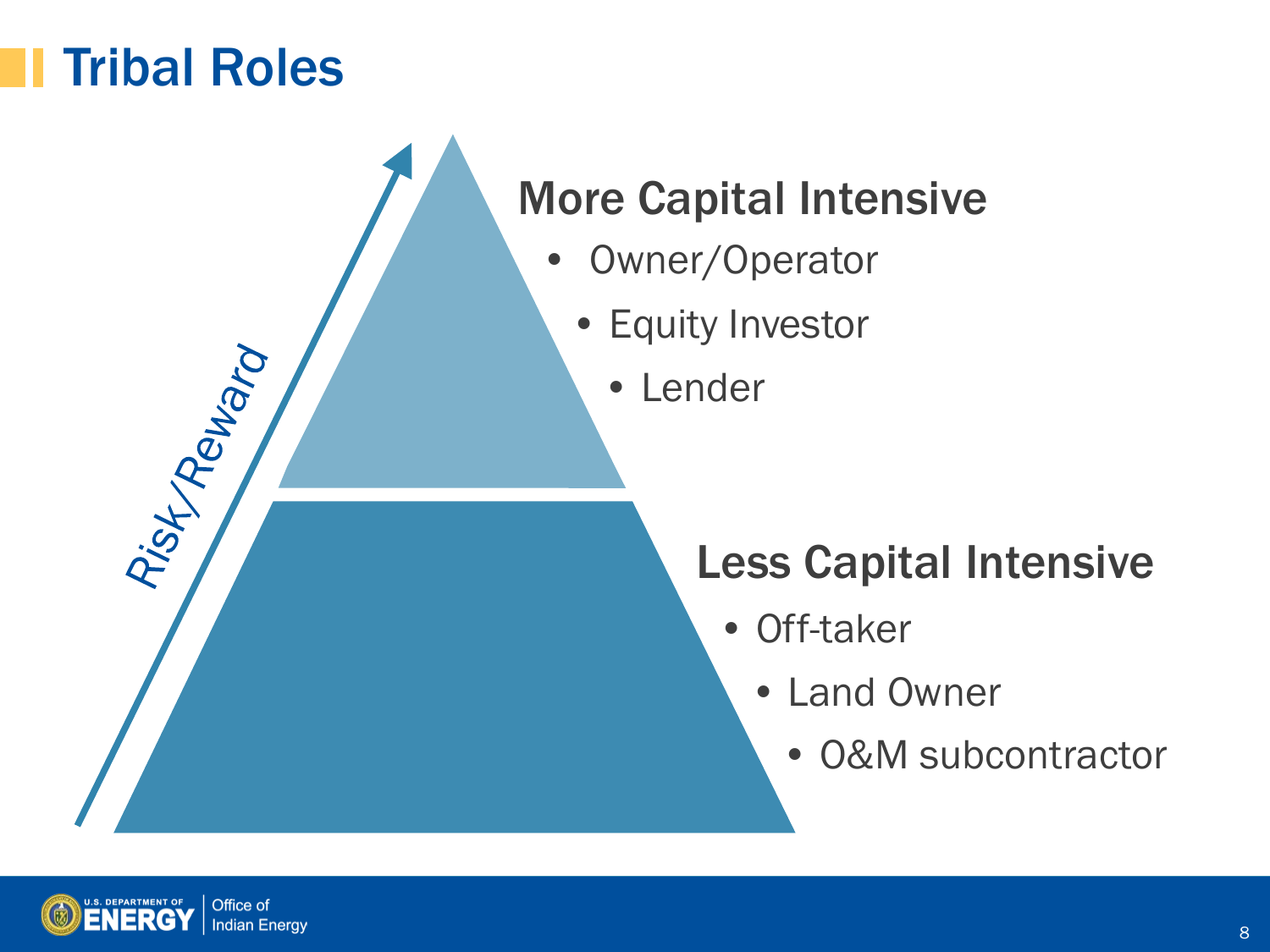#### Tribal Roles

Risky Reward

#### More Capital Intensive

- Owner/Operator
	- Equity Investor
		- Lender

#### Less Capital Intensive

- Off-taker
	- Land Owner
		- O&M subcontractor

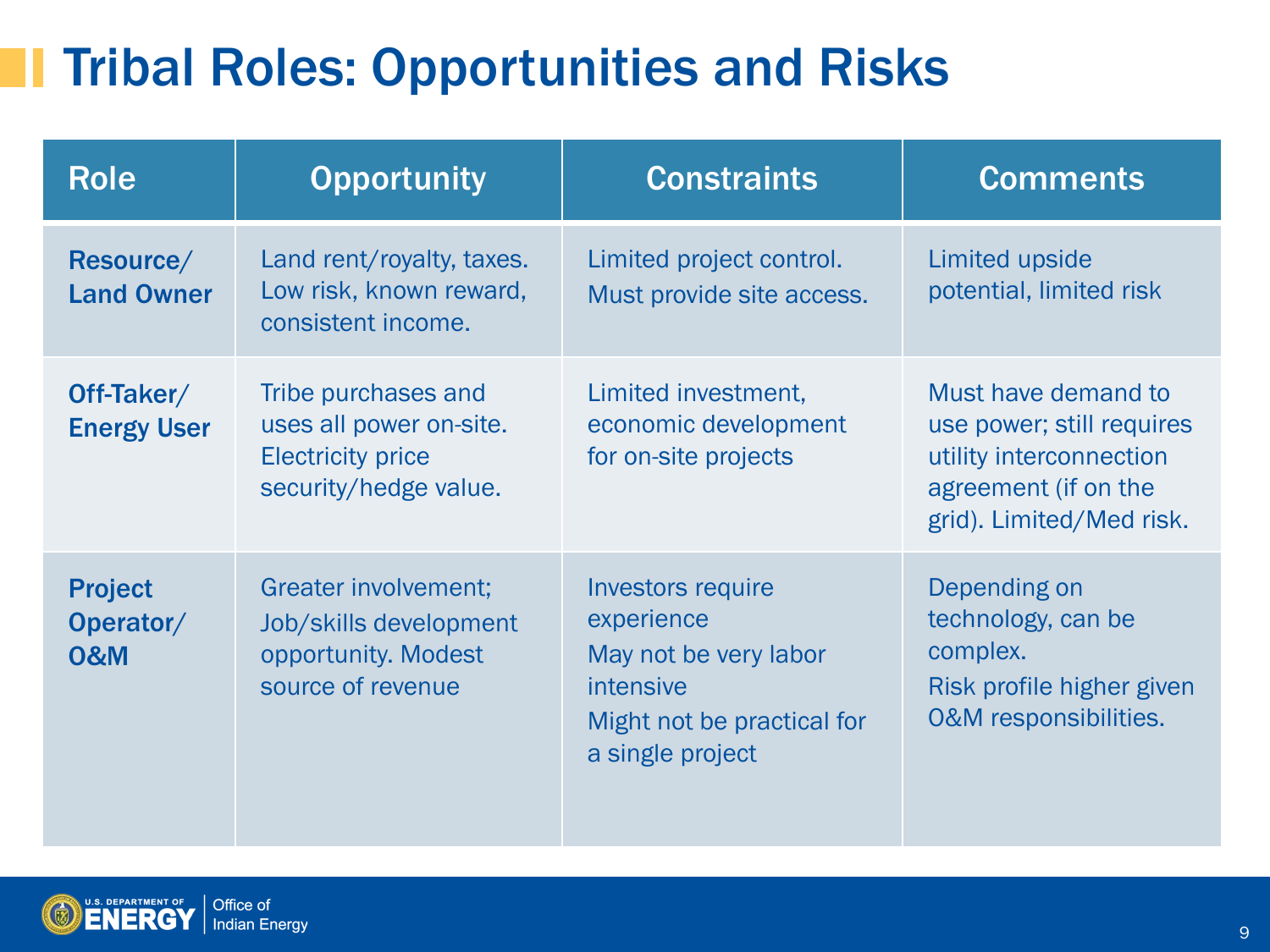## **The Tribal Roles: Opportunities and Risks**

| <b>Role</b>                                   | <b>Opportunity</b>                                                                                  | <b>Constraints</b>                                                                                                             | <b>Comments</b>                                                                                                                 |
|-----------------------------------------------|-----------------------------------------------------------------------------------------------------|--------------------------------------------------------------------------------------------------------------------------------|---------------------------------------------------------------------------------------------------------------------------------|
| Resource/<br><b>Land Owner</b>                | Land rent/royalty, taxes.<br>Low risk, known reward,<br>consistent income.                          | Limited project control.<br>Must provide site access.                                                                          | Limited upside<br>potential, limited risk                                                                                       |
| Off-Taker/<br><b>Energy User</b>              | Tribe purchases and<br>uses all power on-site.<br><b>Electricity price</b><br>security/hedge value. | Limited investment,<br>economic development<br>for on-site projects                                                            | Must have demand to<br>use power; still requires<br>utility interconnection<br>agreement (if on the<br>grid). Limited/Med risk. |
| <b>Project</b><br>Operator/<br><b>0&amp;M</b> | <b>Greater involvement;</b><br>Job/skills development<br>opportunity. Modest<br>source of revenue   | <b>Investors require</b><br>experience<br>May not be very labor<br>intensive<br>Might not be practical for<br>a single project | Depending on<br>technology, can be<br>complex.<br>Risk profile higher given<br><b>O&amp;M</b> responsibilities.                 |

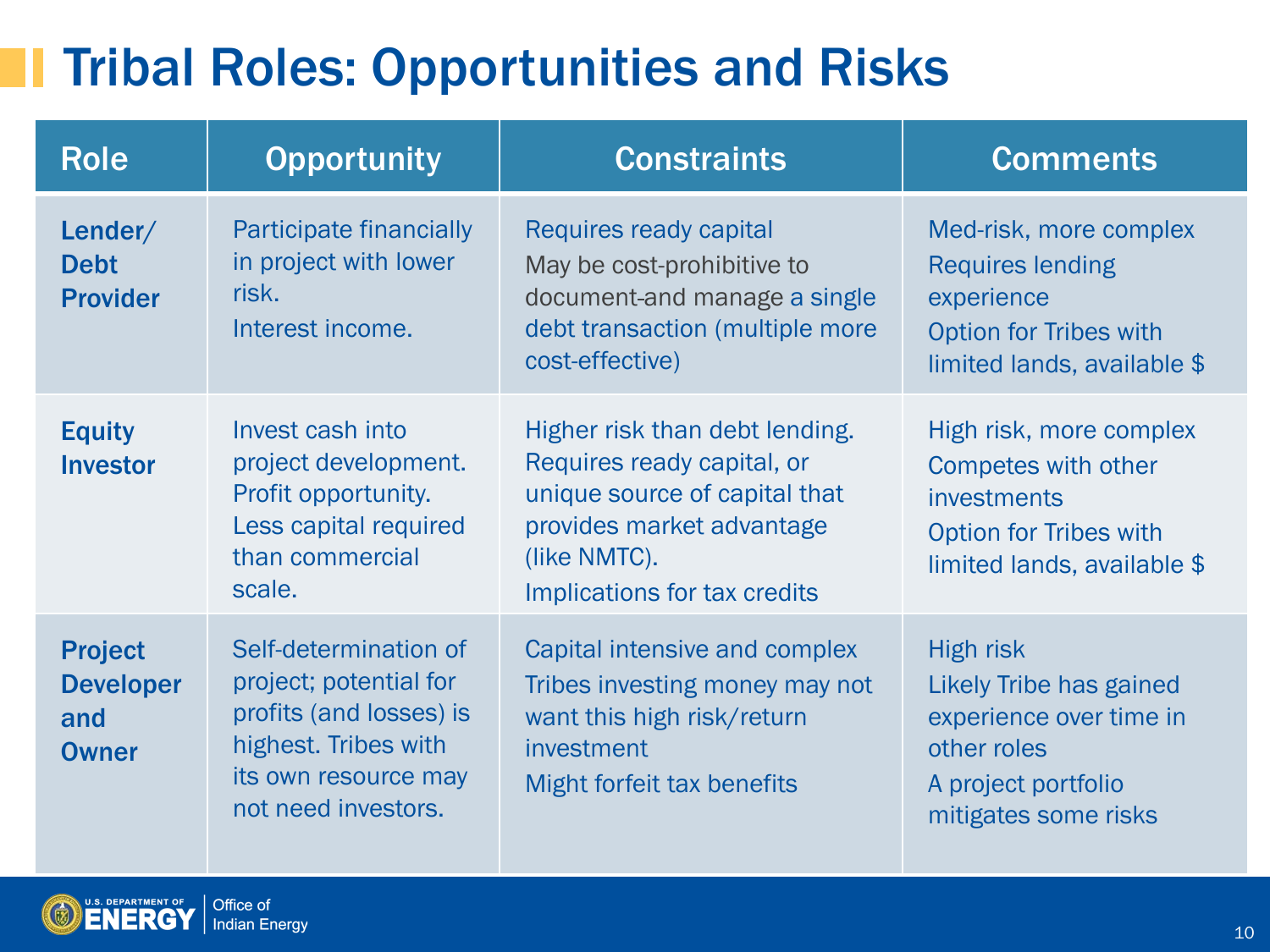## **The Tribal Roles: Opportunities and Risks**

| <b>Role</b>                                               | <b>Opportunity</b>                                                                                                                                | <b>Constraints</b>                                                                                                                                                         | <b>Comments</b>                                                                                                                      |
|-----------------------------------------------------------|---------------------------------------------------------------------------------------------------------------------------------------------------|----------------------------------------------------------------------------------------------------------------------------------------------------------------------------|--------------------------------------------------------------------------------------------------------------------------------------|
| Lender/<br><b>Debt</b><br><b>Provider</b>                 | Participate financially<br>in project with lower<br>risk.<br>Interest income.                                                                     | Requires ready capital<br>May be cost-prohibitive to<br>document-and manage a single<br>debt transaction (multiple more<br>cost-effective)                                 | Med-risk, more complex<br><b>Requires lending</b><br>experience<br><b>Option for Tribes with</b><br>limited lands, available \$      |
| <b>Equity</b><br><b>Investor</b>                          | Invest cash into<br>project development.<br>Profit opportunity.<br>Less capital required<br>than commercial<br>scale.                             | Higher risk than debt lending.<br>Requires ready capital, or<br>unique source of capital that<br>provides market advantage<br>(like NMTC).<br>Implications for tax credits | High risk, more complex<br>Competes with other<br>investments<br><b>Option for Tribes with</b><br>limited lands, available \$        |
| <b>Project</b><br><b>Developer</b><br>and<br><b>Owner</b> | Self-determination of<br>project; potential for<br>profits (and losses) is<br>highest. Tribes with<br>its own resource may<br>not need investors. | Capital intensive and complex<br>Tribes investing money may not<br>want this high risk/return<br>investment<br>Might forfeit tax benefits                                  | <b>High risk</b><br>Likely Tribe has gained<br>experience over time in<br>other roles<br>A project portfolio<br>mitigates some risks |

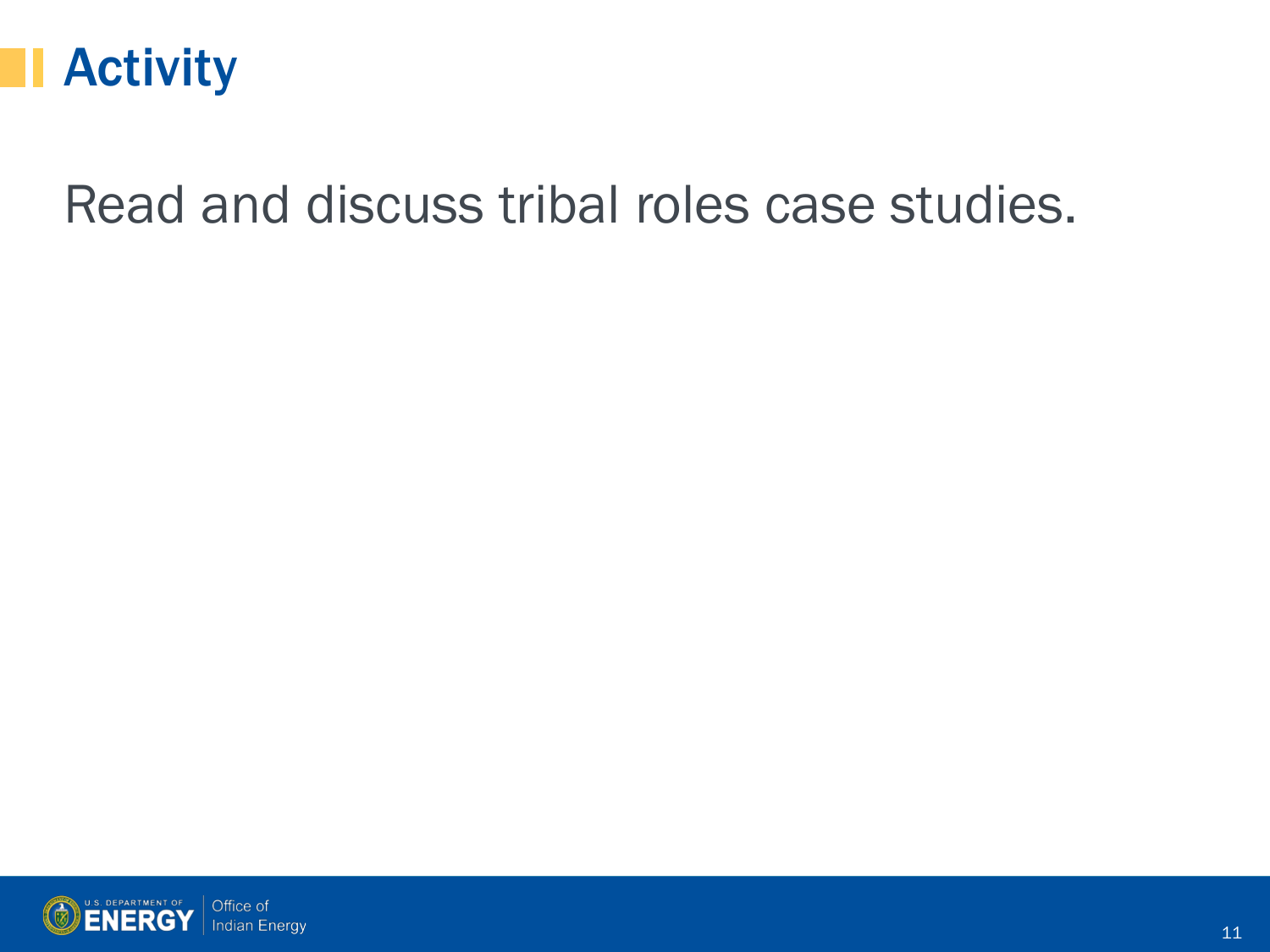

### Read and discuss tribal roles case studies.

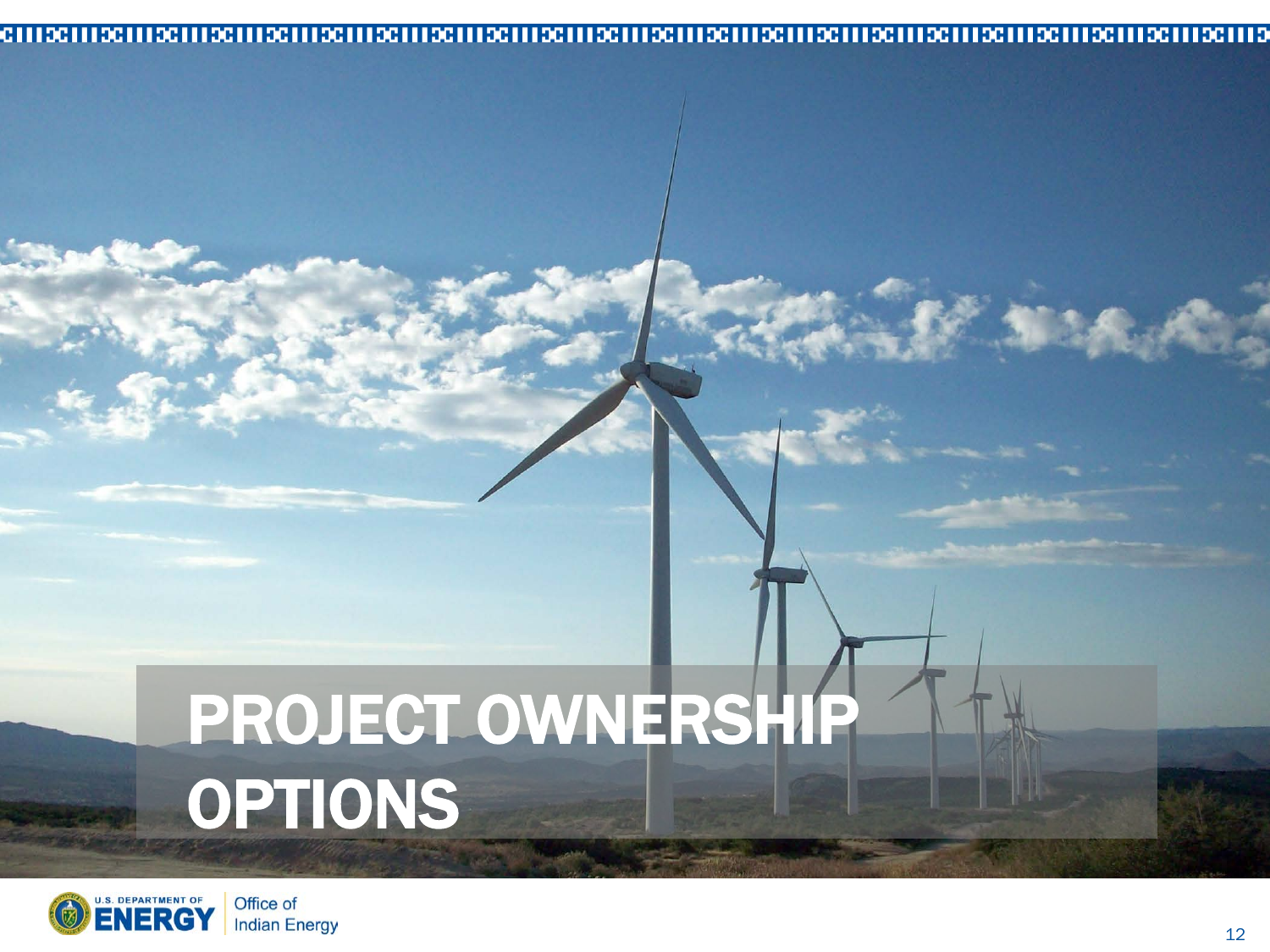#### 

# PROJECT OWNERSHIP OPTIONS



**MARCE**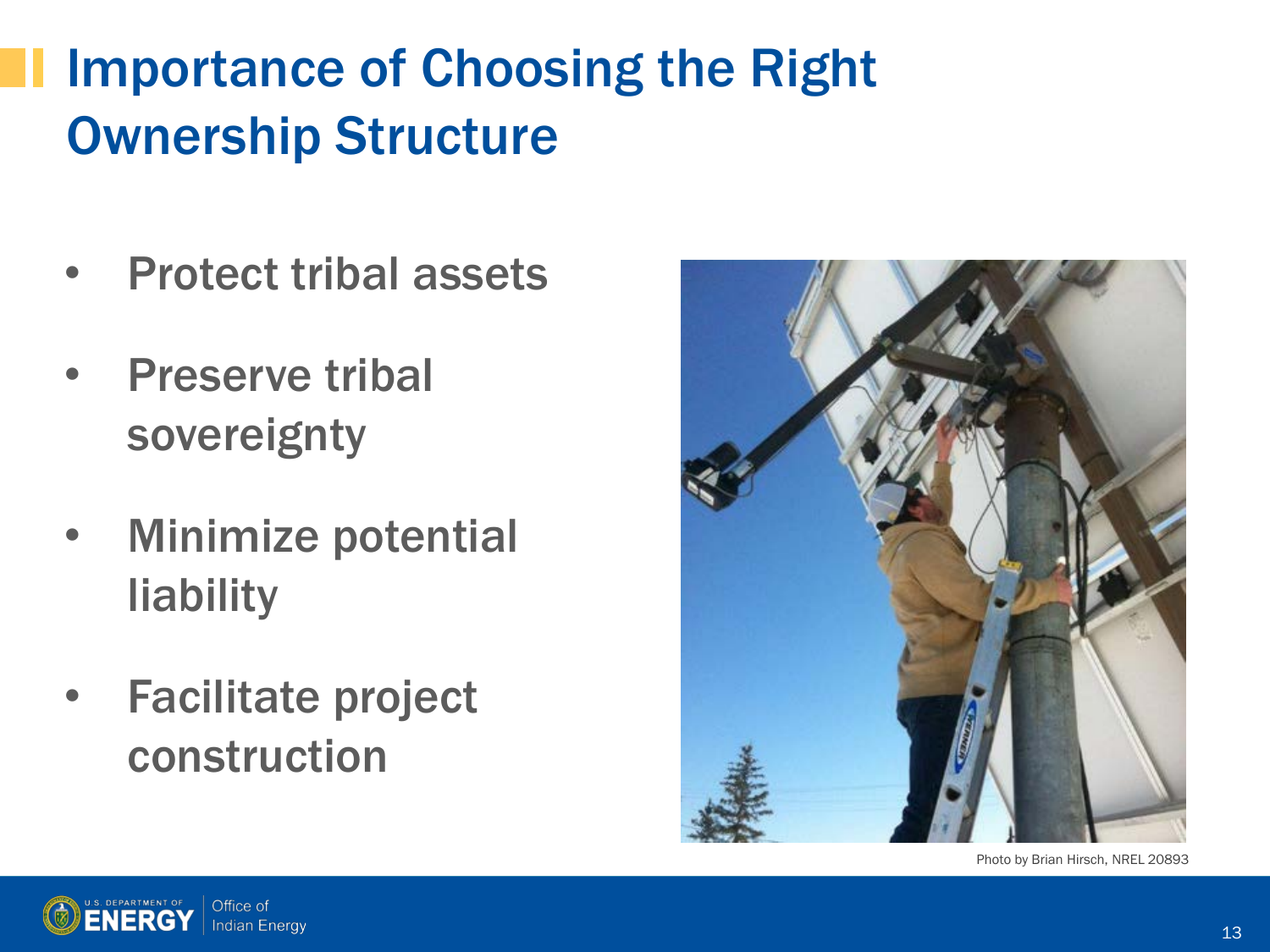# Importance of Choosing the Right Ownership Structure

- Protect tribal assets
- **Preserve tribal** sovereignty
- Minimize potential liability
- Facilitate project construction



Photo by Brian Hirsch, NREL 20893

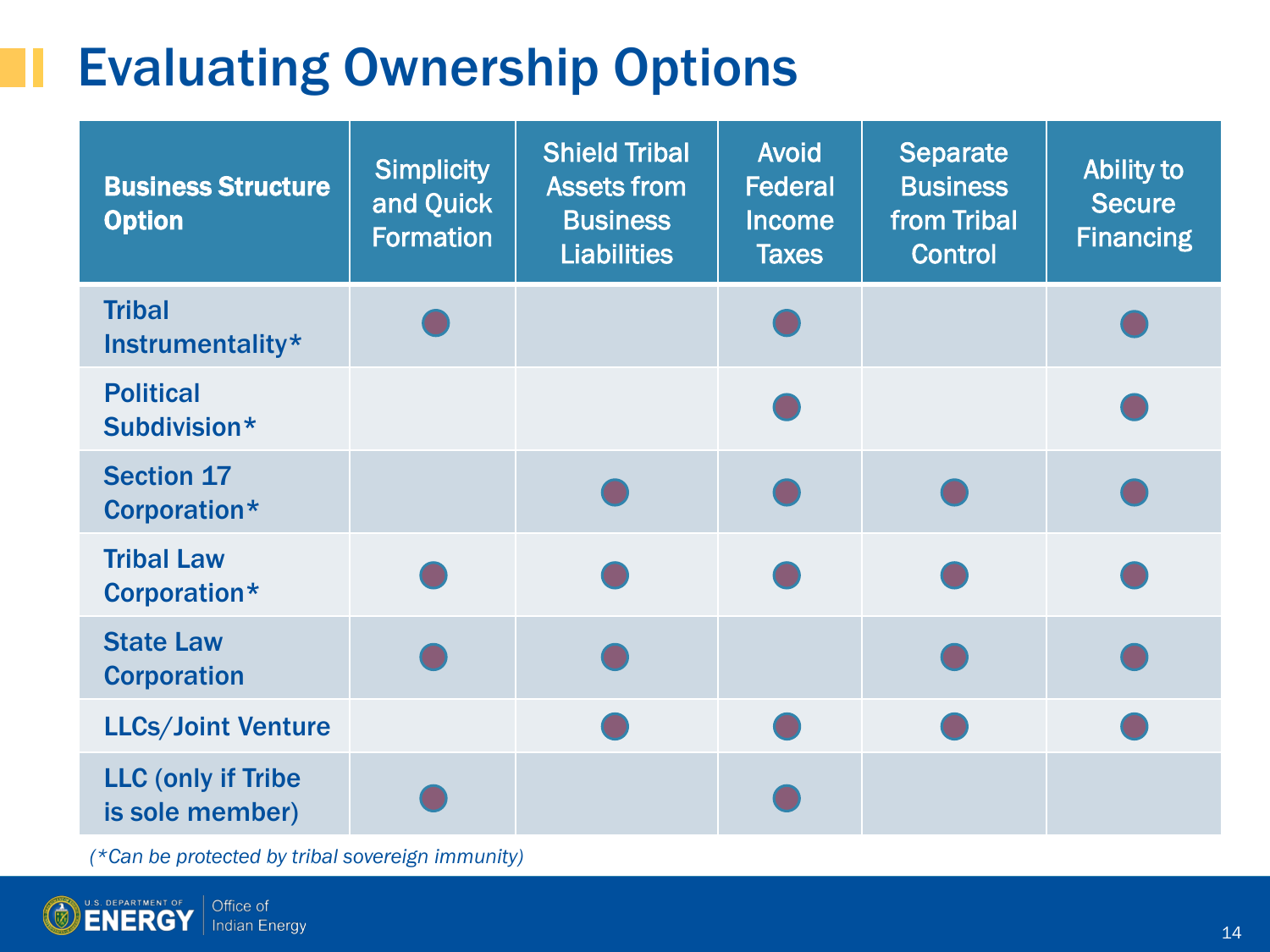## Evaluating Ownership Options

| <b>Business Structure</b><br><b>Option</b>    | <b>Simplicity</b><br>and Quick<br>Formation | <b>Shield Tribal</b><br><b>Assets from</b><br><b>Business</b><br><b>Liabilities</b> | <b>Avoid</b><br><b>Federal</b><br><b>Income</b><br><b>Taxes</b> | <b>Separate</b><br><b>Business</b><br>from Tribal<br><b>Control</b> | <b>Ability to</b><br><b>Secure</b><br><b>Financing</b> |
|-----------------------------------------------|---------------------------------------------|-------------------------------------------------------------------------------------|-----------------------------------------------------------------|---------------------------------------------------------------------|--------------------------------------------------------|
| <b>Tribal</b><br>Instrumentality*             |                                             |                                                                                     |                                                                 |                                                                     |                                                        |
| <b>Political</b><br>Subdivision*              |                                             |                                                                                     |                                                                 |                                                                     |                                                        |
| <b>Section 17</b><br>Corporation*             |                                             |                                                                                     |                                                                 |                                                                     |                                                        |
| <b>Tribal Law</b><br>Corporation*             |                                             |                                                                                     |                                                                 |                                                                     |                                                        |
| <b>State Law</b><br><b>Corporation</b>        |                                             |                                                                                     |                                                                 |                                                                     |                                                        |
| <b>LLCs/Joint Venture</b>                     |                                             |                                                                                     |                                                                 |                                                                     |                                                        |
| <b>LLC (only if Tribe)</b><br>is sole member) |                                             |                                                                                     |                                                                 |                                                                     |                                                        |

*(\*Can be protected by tribal sovereign immunity)*

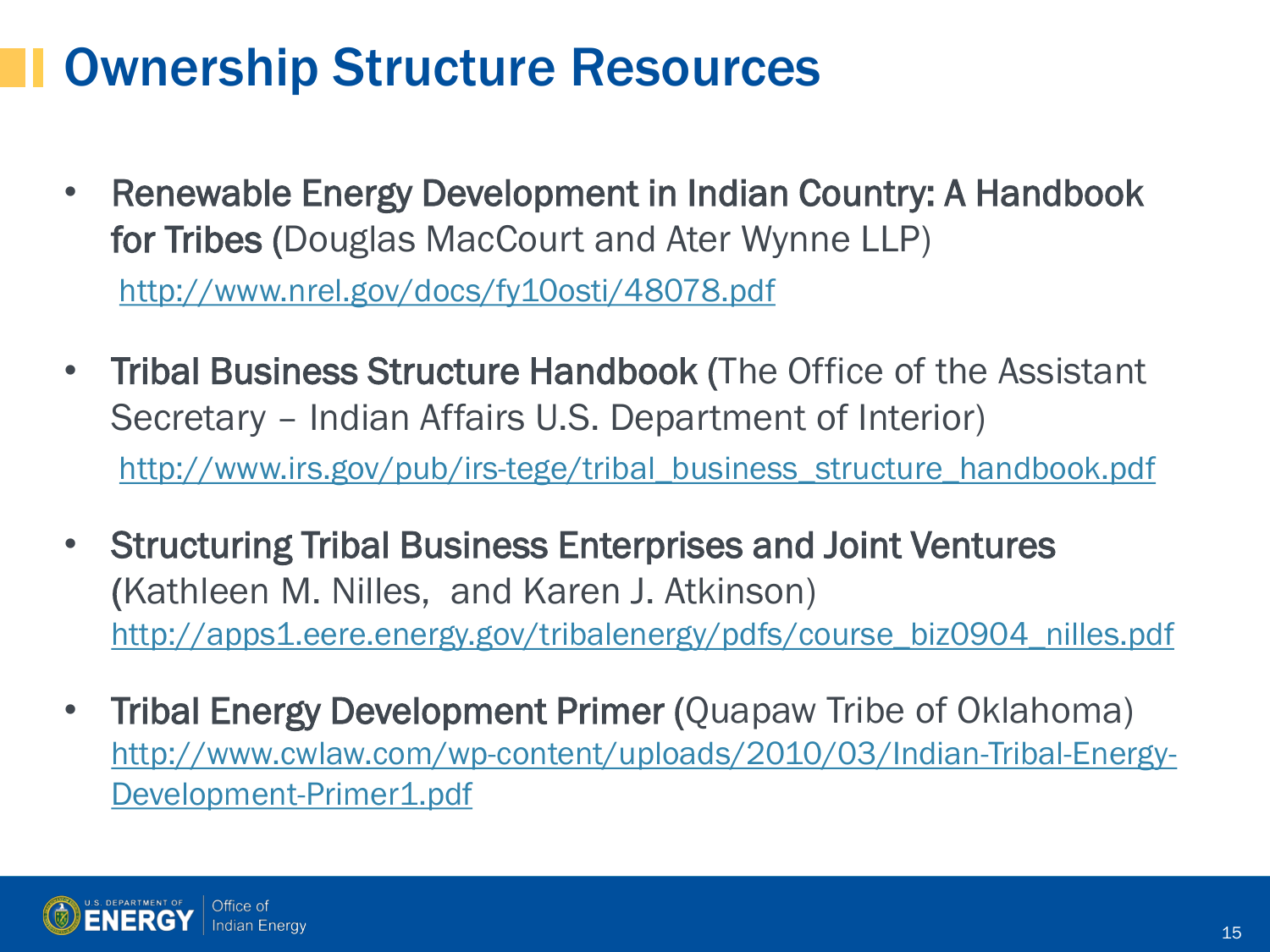### Ownership Structure Resources

- Renewable Energy Development in Indian Country: A Handbook for Tribes (Douglas MacCourt and Ater Wynne LLP) <http://www.nrel.gov/docs/fy10osti/48078.pdf>
- **Tribal Business Structure Handbook (The Office of the Assistant** Secretary – Indian Affairs U.S. Department of Interior) [http://www.irs.gov/pub/irs-tege/tribal\\_business\\_structure\\_handbook.pdf](http://www.irs.gov/pub/irs-tege/tribal_business_structure_handbook.pdf)
- Structuring Tribal Business Enterprises and Joint Ventures (Kathleen M. Nilles, and Karen J. Atkinson) http://apps1.eere.energy.gov/tribalenergy/pdfs/course\_biz0904\_nilles.pdf
- Tribal Energy Development Primer (Quapaw Tribe of Oklahoma) [http://www.cwlaw.com/wp-content/uploads/2010/03/Indian-Tribal-Energy-](http://www.cwlaw.com/wp-content/uploads/2010/03/Indian-Tribal-Energy-Development-Primer1.pdf)[Development-Primer1.pdf](http://www.cwlaw.com/wp-content/uploads/2010/03/Indian-Tribal-Energy-Development-Primer1.pdf)

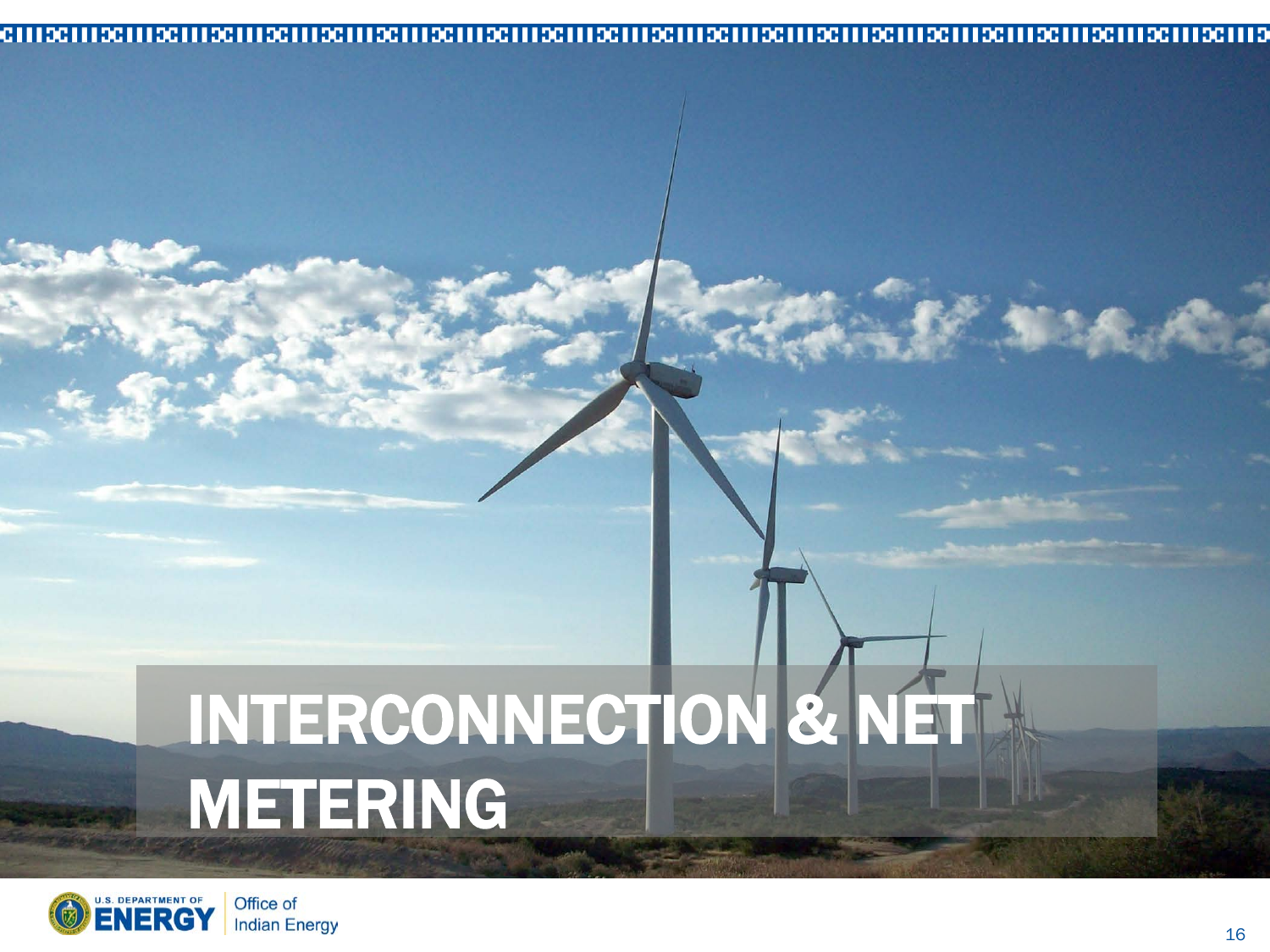#### 

# INTERCONNECTION & NET METERING

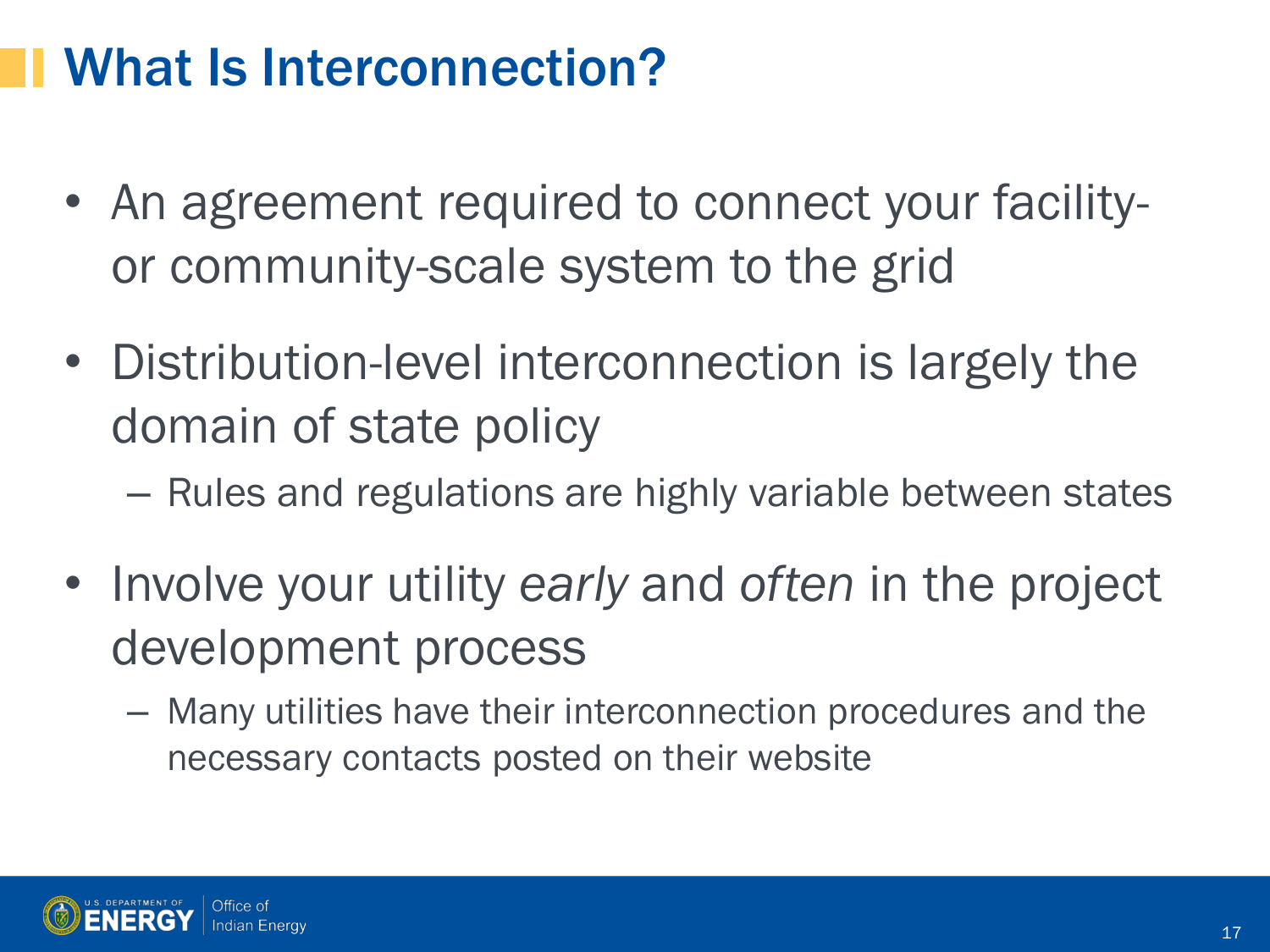### What Is Interconnection?

- An agreement required to connect your facilityor community-scale system to the grid
- Distribution-level interconnection is largely the domain of state policy
	- Rules and regulations are highly variable between states
- Involve your utility *early* and *often* in the project development process
	- Many utilities have their interconnection procedures and the necessary contacts posted on their website

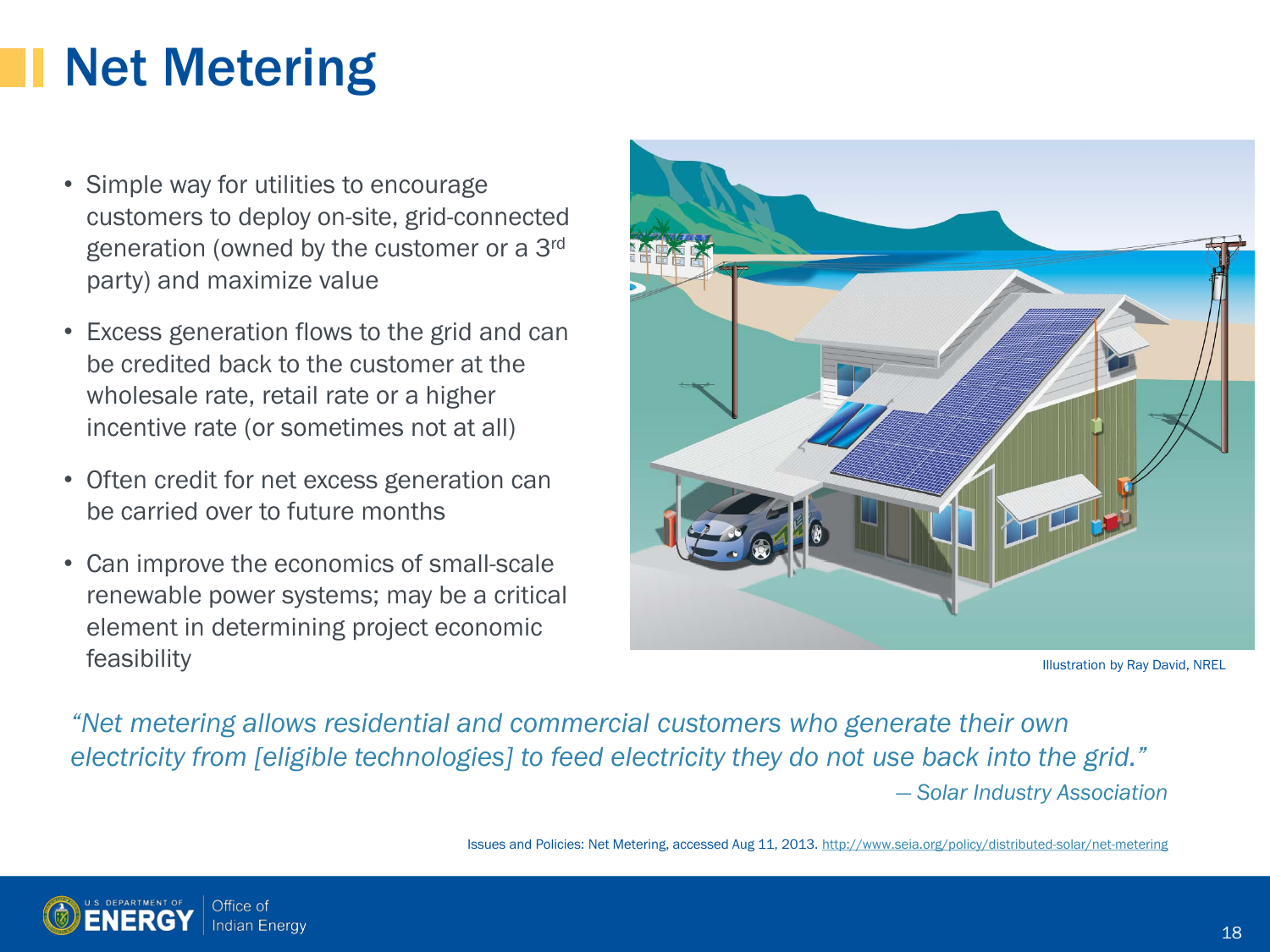## Net Metering

- Simple way for utilities to encourage customers to deploy on-site, grid-connected generation (owned by the customer or a 3rd party) and maximize value
- Excess generation flows to the grid and can be credited back to the customer at the wholesale rate, retail rate or a higher incentive rate (or sometimes not at all)
- Often credit for net excess generation can be carried over to future months
- Can improve the economics of small-scale renewable power systems; may be a critical element in determining project economic feasibility



Illustration by Ray David, NREL

*"Net metering allows residential and commercial customers who generate their own electricity from [eligible technologies] to feed electricity they do not use back into the grid." — Solar Industry Association*

Issues and Policies: Net Metering, accessed Aug 11, 2013. <http://www.seia.org/policy/distributed-solar/net-metering>

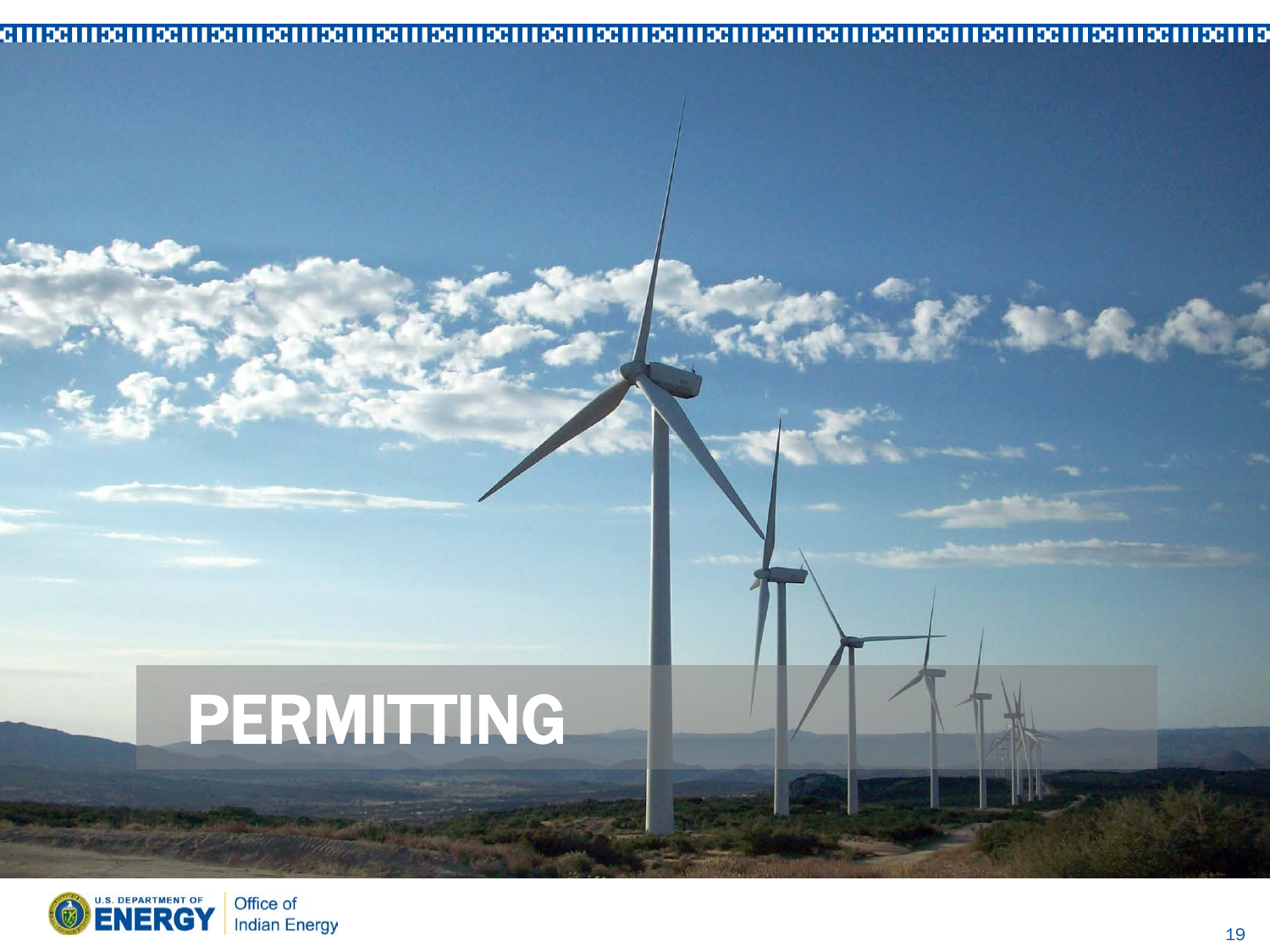#### 

# PERMITTING



「大人」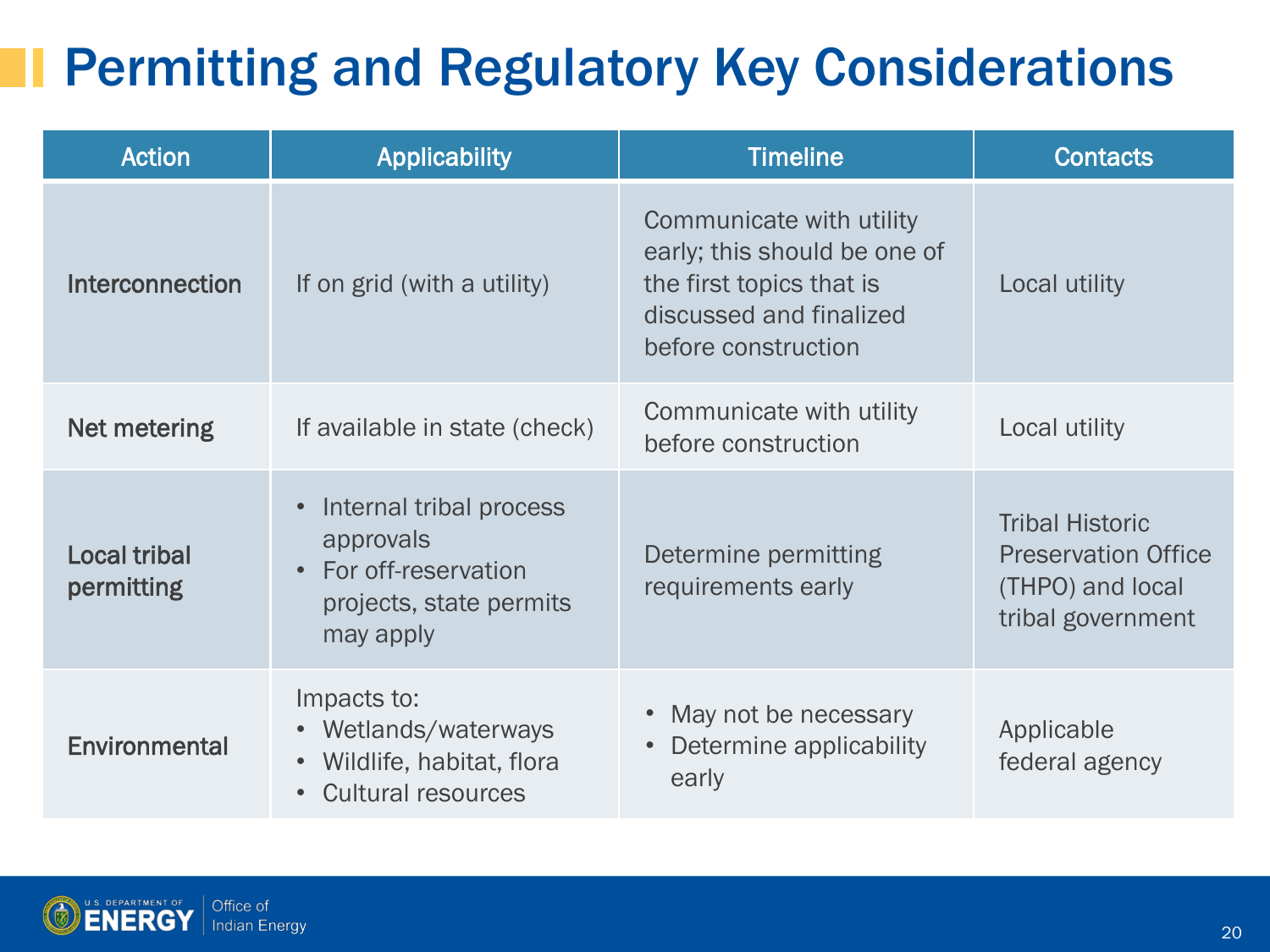### Permitting and Regulatory Key Considerations

| <b>Action</b>                     | <b>Applicability</b>                                                                                  | <b>Timeline</b>                                                                                                                        | <b>Contacts</b>                                                                               |
|-----------------------------------|-------------------------------------------------------------------------------------------------------|----------------------------------------------------------------------------------------------------------------------------------------|-----------------------------------------------------------------------------------------------|
| <b>Interconnection</b>            | If on grid (with a utility)                                                                           | Communicate with utility<br>early; this should be one of<br>the first topics that is<br>discussed and finalized<br>before construction | Local utility                                                                                 |
| Net metering                      | If available in state (check)                                                                         | Communicate with utility<br>before construction                                                                                        | Local utility                                                                                 |
| <b>Local tribal</b><br>permitting | Internal tribal process<br>approvals<br>• For off-reservation<br>projects, state permits<br>may apply | Determine permitting<br>requirements early                                                                                             | <b>Tribal Historic</b><br><b>Preservation Office</b><br>(THPO) and local<br>tribal government |
| Environmental                     | Impacts to:<br>• Wetlands/waterways<br>Wildlife, habitat, flora<br><b>Cultural resources</b>          | May not be necessary<br>Determine applicability<br>early                                                                               | Applicable<br>federal agency                                                                  |



JI.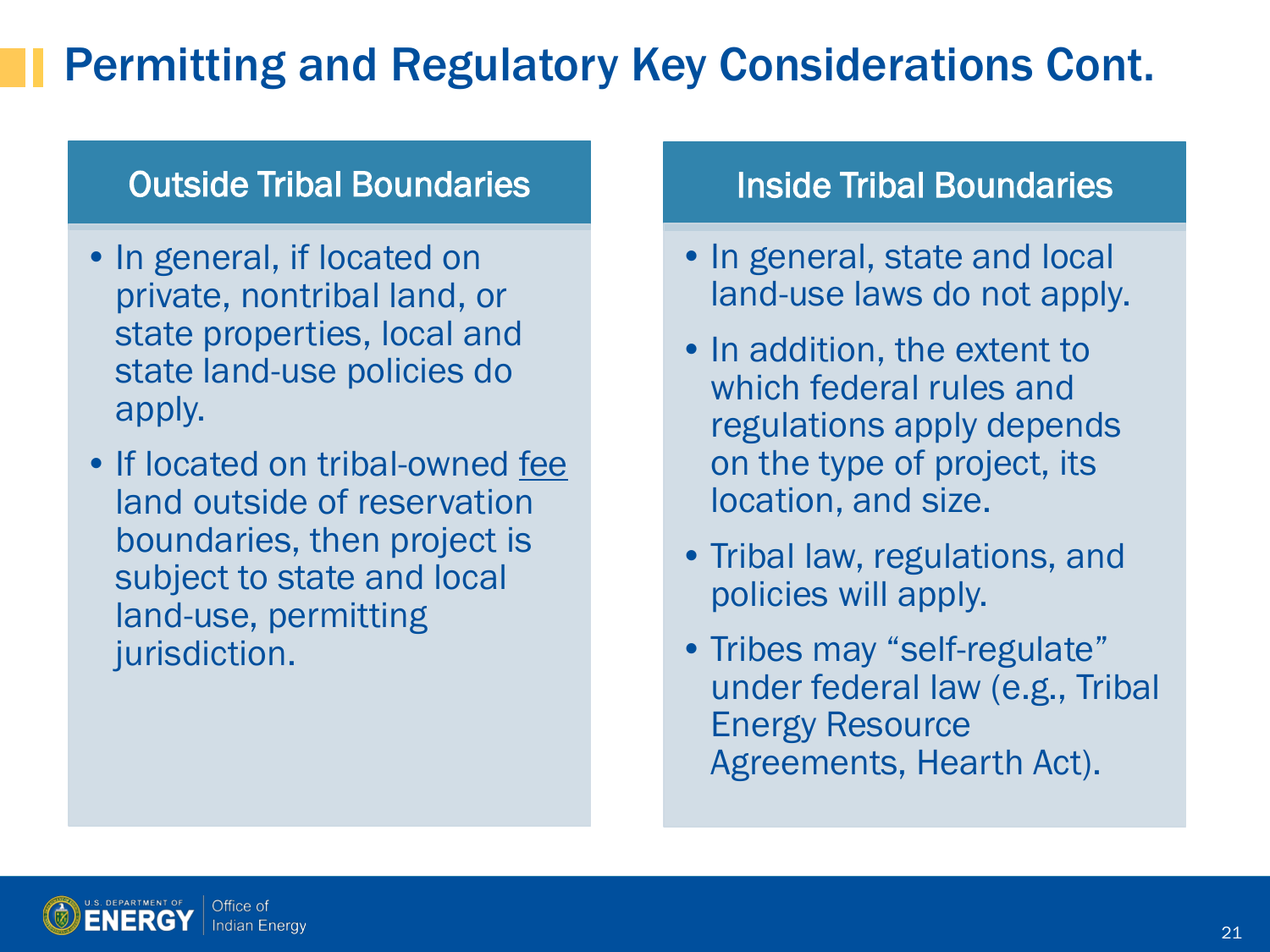#### Permitting and Regulatory Key Considerations Cont.

#### Outside Tribal Boundaries

- In general, if located on private, nontribal land, or state properties, local and state land-use policies do apply.
- If located on tribal-owned fee land outside of reservation boundaries, then project is subject to state and local land-use, permitting jurisdiction.

#### Inside Tribal Boundaries

- In general, state and local land-use laws do not apply.
- In addition, the extent to which federal rules and regulations apply depends on the type of project, its location, and size.
- Tribal law, regulations, and policies will apply.
- Tribes may "self-regulate" under federal law (e.g., Tribal Energy Resource Agreements, Hearth Act).

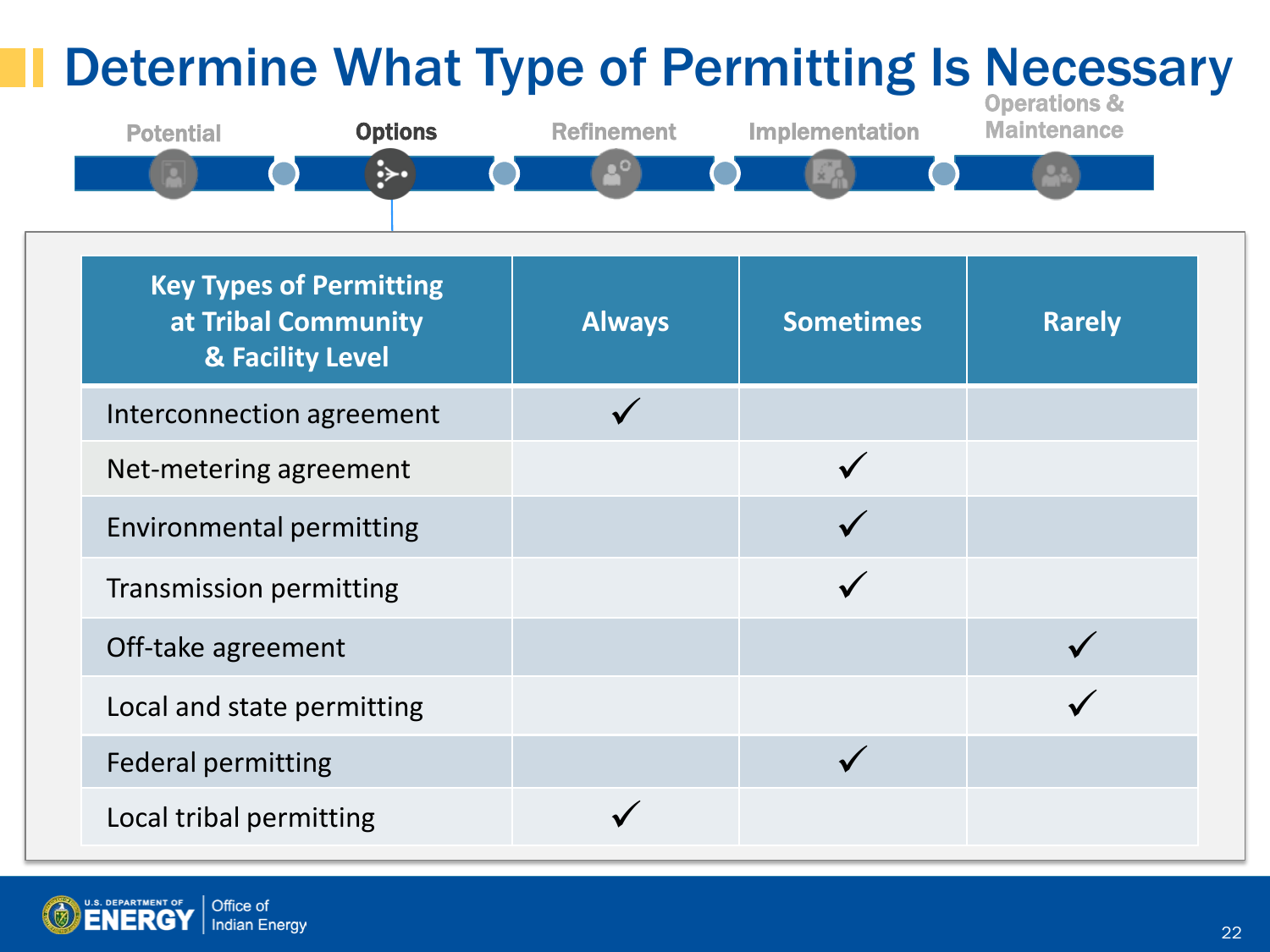

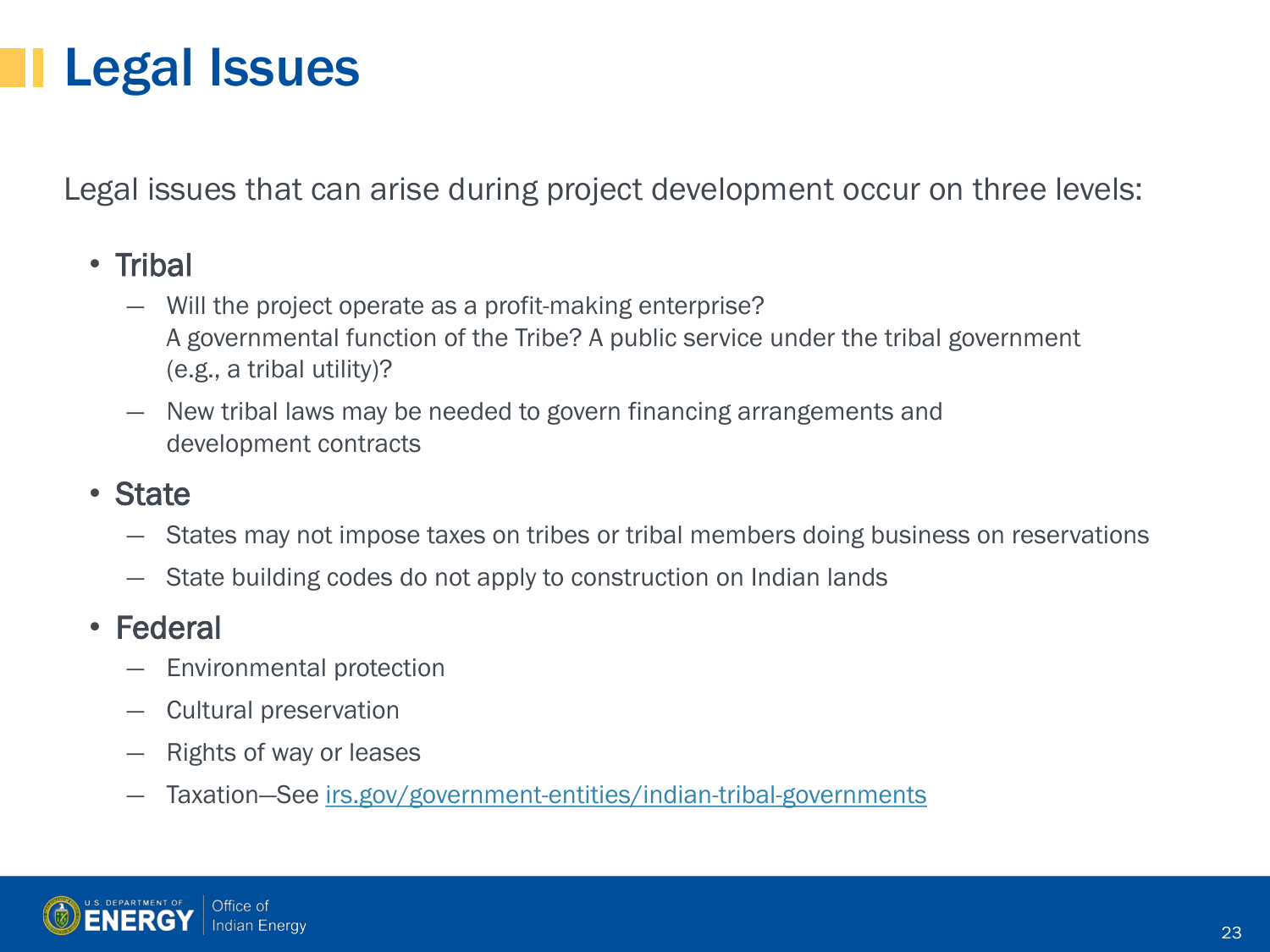### Legal Issues

Legal issues that can arise during project development occur on three levels:

#### • Tribal

- Will the project operate as a profit-making enterprise? A governmental function of the Tribe? A public service under the tribal government (e.g., a tribal utility)?
- ― New tribal laws may be needed to govern financing arrangements and development contracts

#### • State

- ― States may not impose taxes on tribes or tribal members doing business on reservations
- ― State building codes do not apply to construction on Indian lands

#### • Federal

- ― Environmental protection
- ― Cultural preservation
- ― Rights of way or leases
- ― Taxation—See [irs.gov/government-entities/indian-tribal-governments](http://www.irs.gov/Government-Entities/Indian-Tribal-Governments)

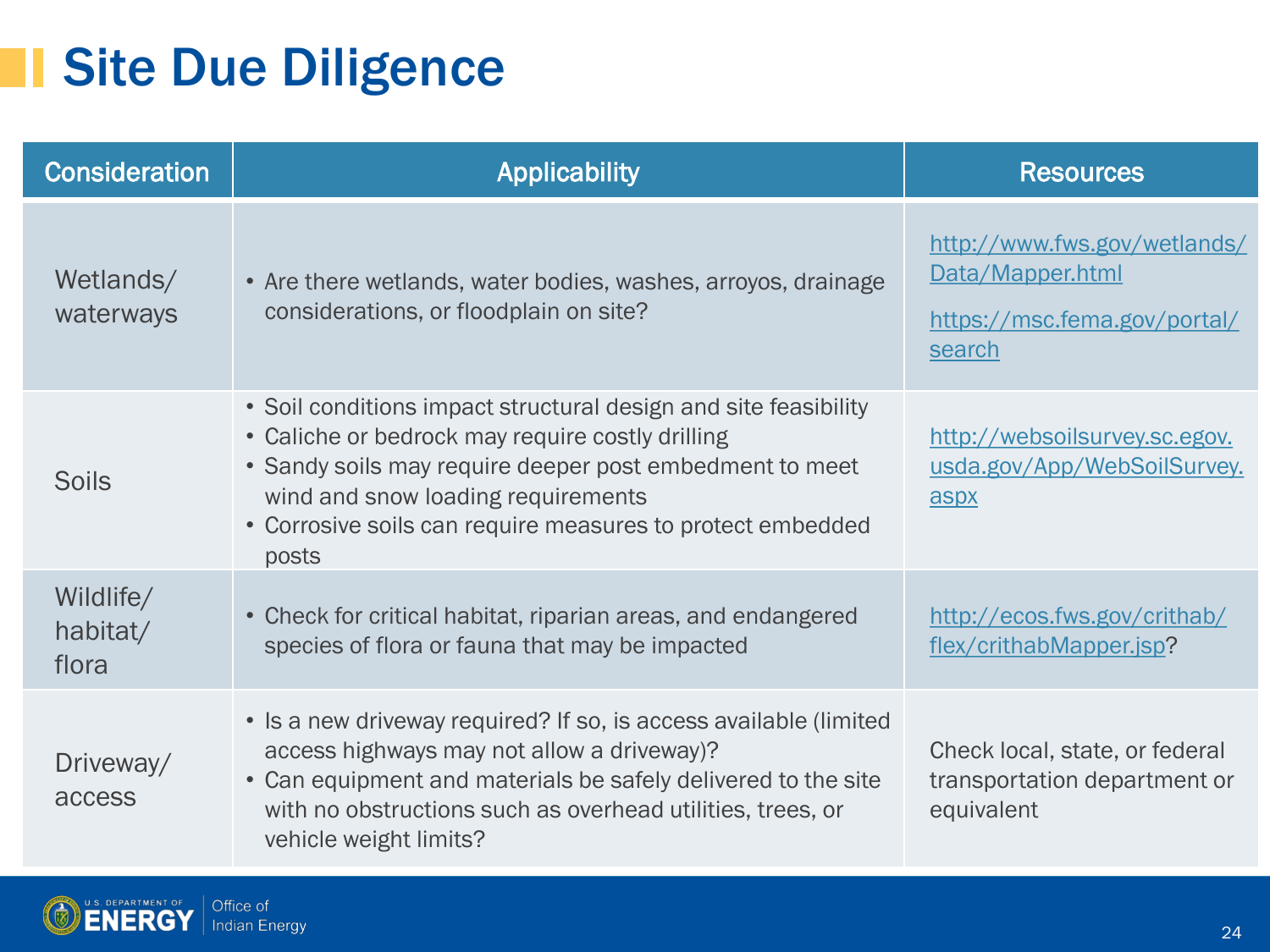### **Site Due Diligence**

| <b>Consideration</b>           | <b>Applicability</b>                                                                                                                                                                                                                                                                        | <b>Resources</b>                                                                           |
|--------------------------------|---------------------------------------------------------------------------------------------------------------------------------------------------------------------------------------------------------------------------------------------------------------------------------------------|--------------------------------------------------------------------------------------------|
| Wetlands/<br>waterways         | • Are there wetlands, water bodies, washes, arroyos, drainage<br>considerations, or floodplain on site?                                                                                                                                                                                     | http://www.fws.gov/wetlands/<br>Data/Mapper.html<br>https://msc.fema.gov/portal/<br>search |
| <b>Soils</b>                   | • Soil conditions impact structural design and site feasibility<br>• Caliche or bedrock may require costly drilling<br>• Sandy soils may require deeper post embedment to meet<br>wind and snow loading requirements<br>• Corrosive soils can require measures to protect embedded<br>posts | http://websoilsurvey.sc.egov.<br>usda.gov/App/WebSoilSurvey.<br>aspx                       |
| Wildlife/<br>habitat/<br>flora | • Check for critical habitat, riparian areas, and endangered<br>species of flora or fauna that may be impacted                                                                                                                                                                              | http://ecos.fws.gov/crithab/<br>flex/crithabMapper.jsp?                                    |
| Driveway/<br>access            | • Is a new driveway required? If so, is access available (limited<br>access highways may not allow a driveway)?<br>• Can equipment and materials be safely delivered to the site<br>with no obstructions such as overhead utilities, trees, or<br>vehicle weight limits?                    | Check local, state, or federal<br>transportation department or<br>equivalent               |

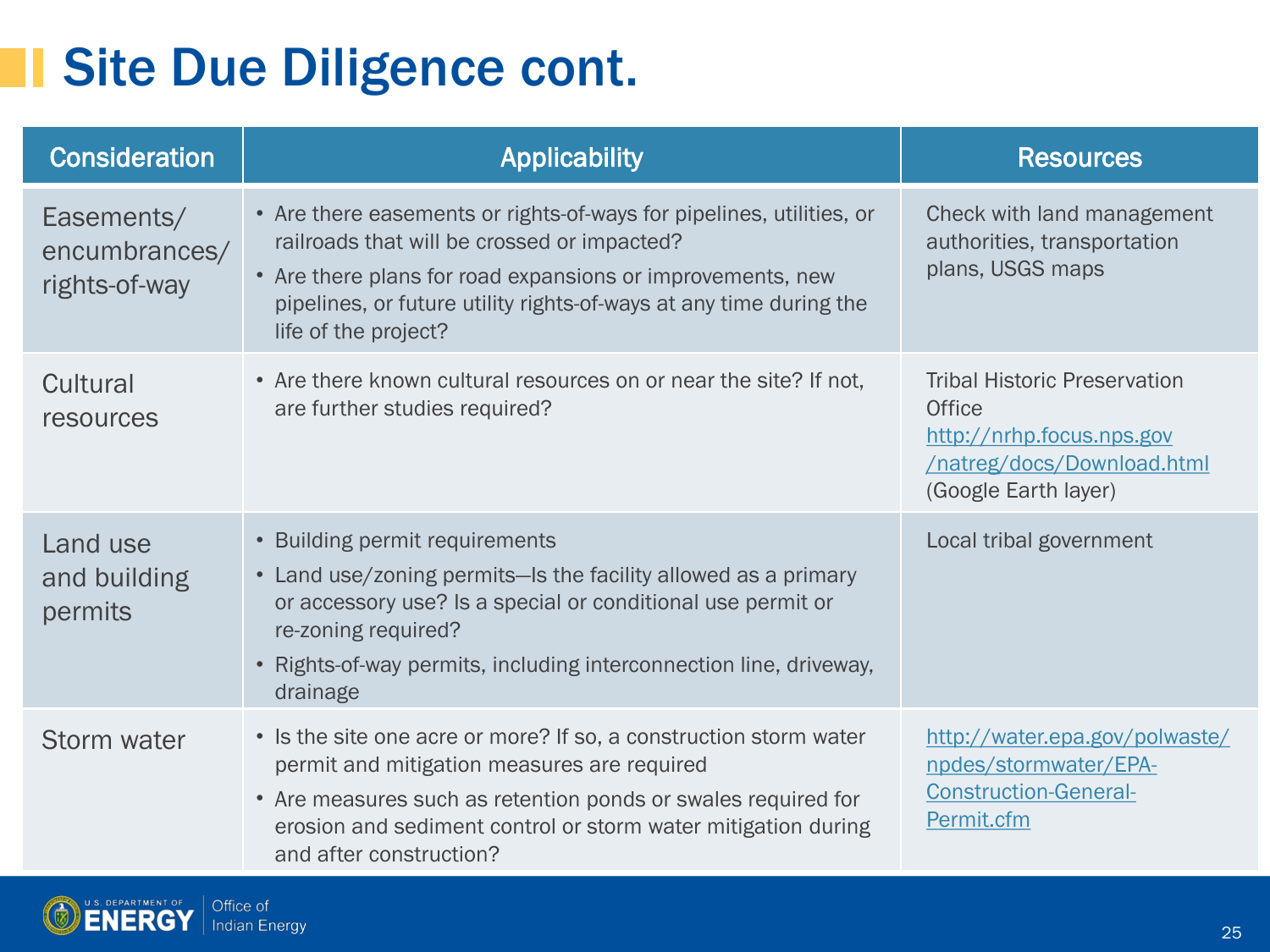### **Site Due Diligence cont.**

| <b>Consideration</b>                         | <b>Applicability</b>                                                                                                                                                                                                                                                            | <b>Resources</b>                                                                                                                        |
|----------------------------------------------|---------------------------------------------------------------------------------------------------------------------------------------------------------------------------------------------------------------------------------------------------------------------------------|-----------------------------------------------------------------------------------------------------------------------------------------|
| Easements/<br>encumbrances/<br>rights-of-way | • Are there easements or rights-of-ways for pipelines, utilities, or<br>railroads that will be crossed or impacted?<br>• Are there plans for road expansions or improvements, new<br>pipelines, or future utility rights-of-ways at any time during the<br>life of the project? | Check with land management<br>authorities, transportation<br>plans, USGS maps                                                           |
| Cultural<br>resources                        | • Are there known cultural resources on or near the site? If not,<br>are further studies required?                                                                                                                                                                              | <b>Tribal Historic Preservation</b><br><b>Office</b><br>http://nrhp.focus.nps.gov<br>/natreg/docs/Download.html<br>(Google Earth layer) |
| Land use<br>and building<br>permits          | • Building permit requirements<br>• Land use/zoning permits-Is the facility allowed as a primary<br>or accessory use? Is a special or conditional use permit or<br>re-zoning required?<br>• Rights-of-way permits, including interconnection line, driveway,<br>drainage        | Local tribal government                                                                                                                 |
| Storm water                                  | • Is the site one acre or more? If so, a construction storm water<br>permit and mitigation measures are required<br>• Are measures such as retention ponds or swales required for<br>erosion and sediment control or storm water mitigation during<br>and after construction?   | http://water.epa.gov/polwaste/<br>npdes/stormwater/EPA-<br><b>Construction-General-</b><br>Permit.cfm                                   |

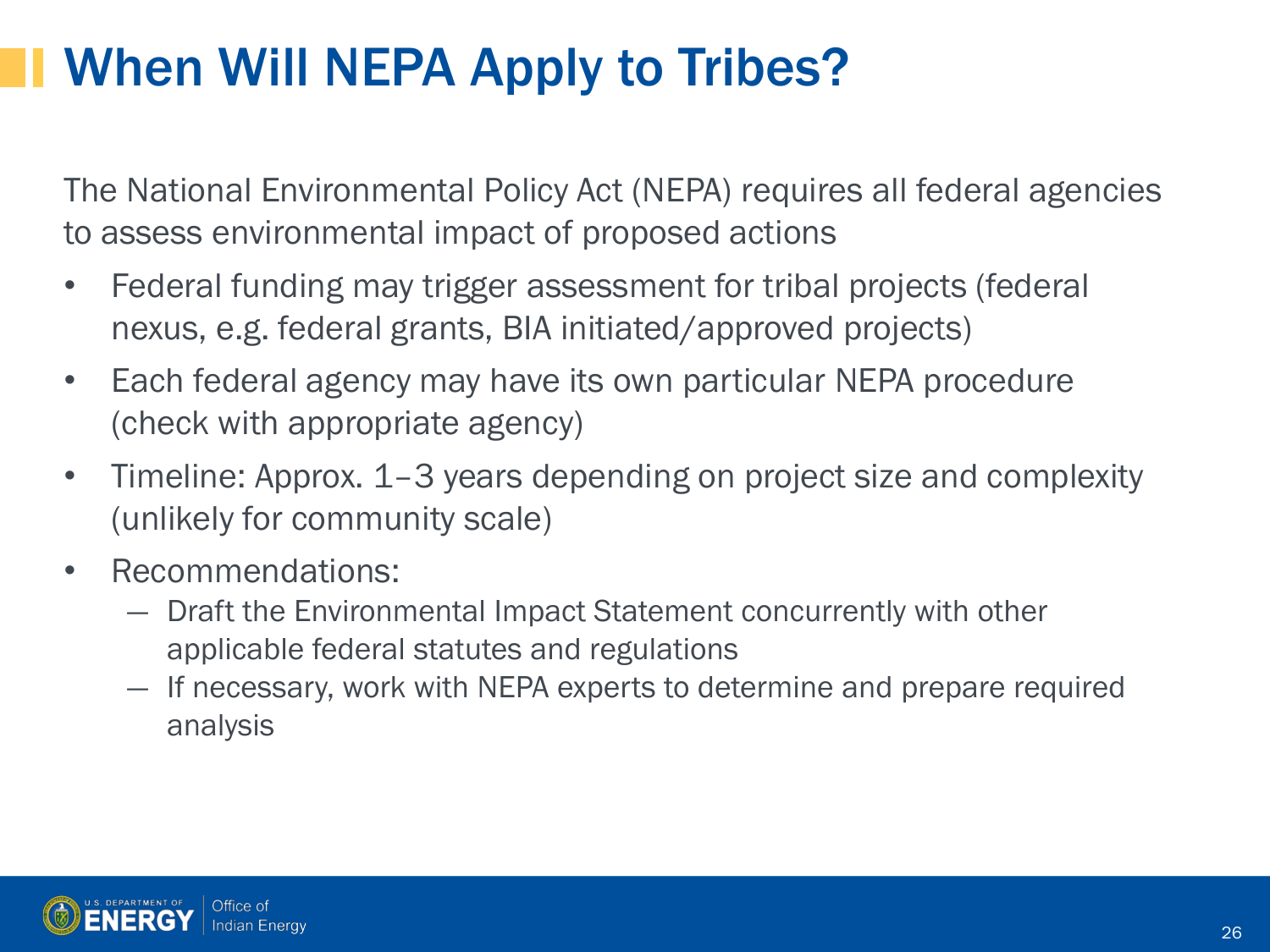# When Will NEPA Apply to Tribes?

The National Environmental Policy Act (NEPA) requires all federal agencies to assess environmental impact of proposed actions

- Federal funding may trigger assessment for tribal projects (federal nexus, e.g. federal grants, BIA initiated/approved projects)
- Each federal agency may have its own particular NEPA procedure (check with appropriate agency)
- Timeline: Approx. 1–3 years depending on project size and complexity (unlikely for community scale)
- Recommendations:
	- ― Draft the Environmental Impact Statement concurrently with other applicable federal statutes and regulations
	- ― If necessary, work with NEPA experts to determine and prepare required analysis

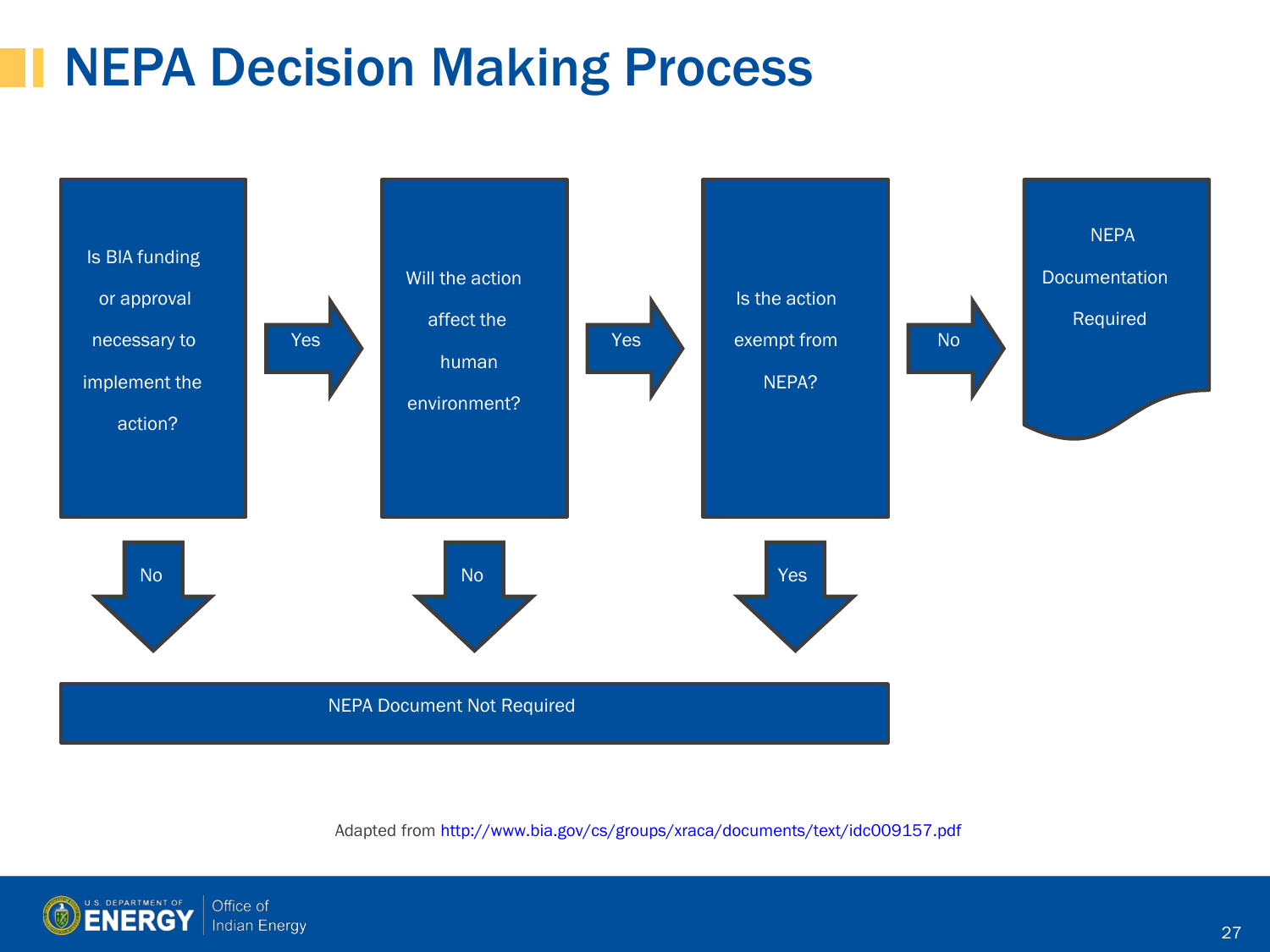### NEPA Decision Making Process



Adapted from http://www.bia.gov/cs/groups/xraca/documents/text/idc009157.pdf

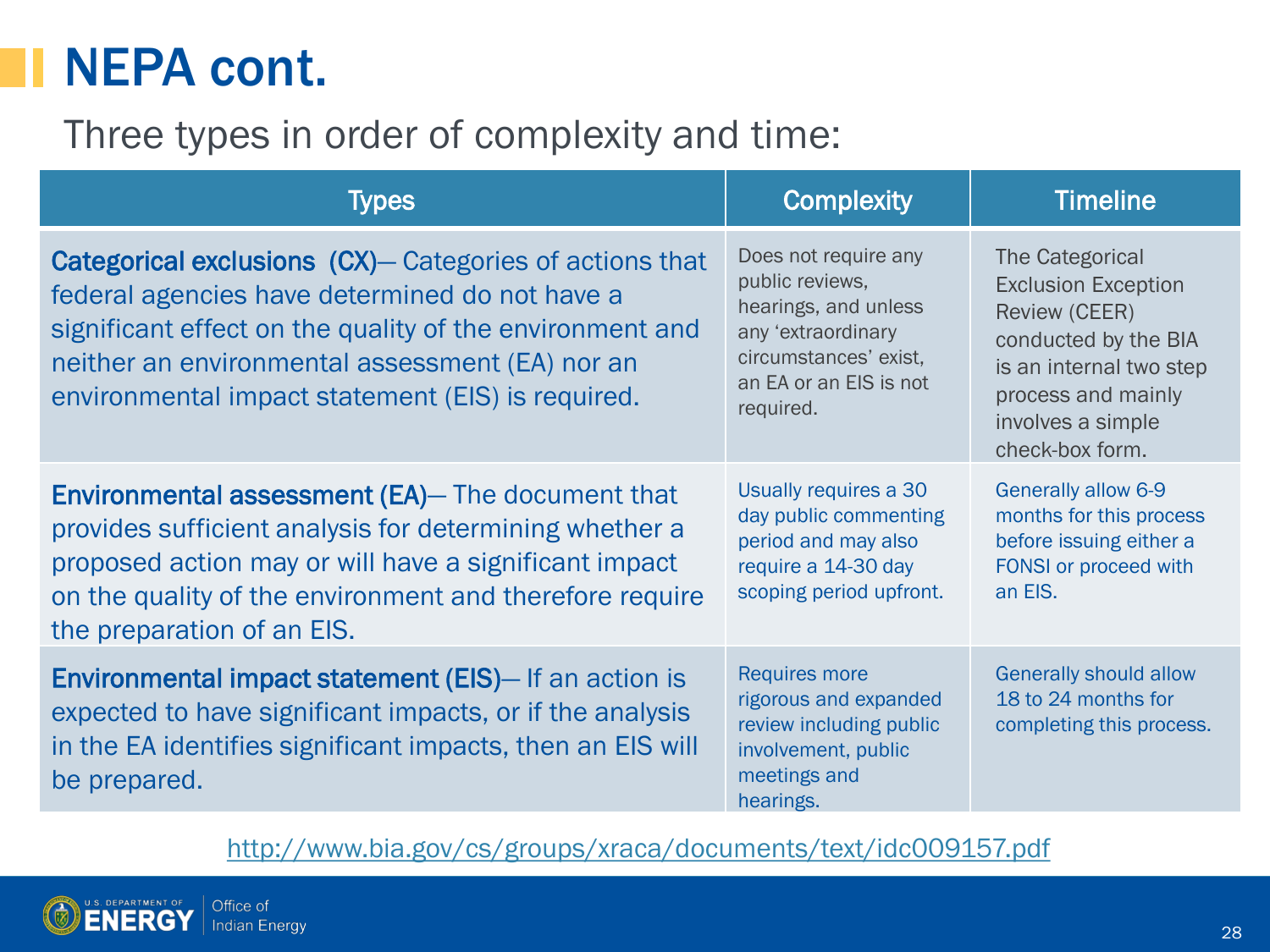### NEPA cont.

#### Three types in order of complexity and time:

| Types                                                                                                                                                                                                                                                                                | <b>Complexity</b>                                                                                                                                     | <b>Timeline</b>                                                                                                                                                                               |
|--------------------------------------------------------------------------------------------------------------------------------------------------------------------------------------------------------------------------------------------------------------------------------------|-------------------------------------------------------------------------------------------------------------------------------------------------------|-----------------------------------------------------------------------------------------------------------------------------------------------------------------------------------------------|
| <b>Categorical exclusions (CX)– Categories of actions that</b><br>federal agencies have determined do not have a<br>significant effect on the quality of the environment and<br>neither an environmental assessment (EA) nor an<br>environmental impact statement (EIS) is required. | Does not require any<br>public reviews,<br>hearings, and unless<br>any 'extraordinary<br>circumstances' exist,<br>an EA or an EIS is not<br>required. | <b>The Categorical</b><br><b>Exclusion Exception</b><br><b>Review (CEER)</b><br>conducted by the BIA<br>is an internal two step<br>process and mainly<br>involves a simple<br>check-box form. |
| <b>Environmental assessment (EA)</b> — The document that<br>provides sufficient analysis for determining whether a<br>proposed action may or will have a significant impact<br>on the quality of the environment and therefore require<br>the preparation of an EIS.                 | Usually requires a 30<br>day public commenting<br>period and may also<br>require a 14-30 day<br>scoping period upfront.                               | Generally allow 6-9<br>months for this process<br>before issuing either a<br>FONSI or proceed with<br>an EIS.                                                                                 |
| Environmental impact statement (EIS)-If an action is<br>expected to have significant impacts, or if the analysis<br>in the EA identifies significant impacts, then an EIS will<br>be prepared.                                                                                       | <b>Requires more</b><br>rigorous and expanded<br>review including public<br>involvement, public<br>meetings and<br>hearings.                          | <b>Generally should allow</b><br>18 to 24 months for<br>completing this process.                                                                                                              |

<http://www.bia.gov/cs/groups/xraca/documents/text/idc009157.pdf>

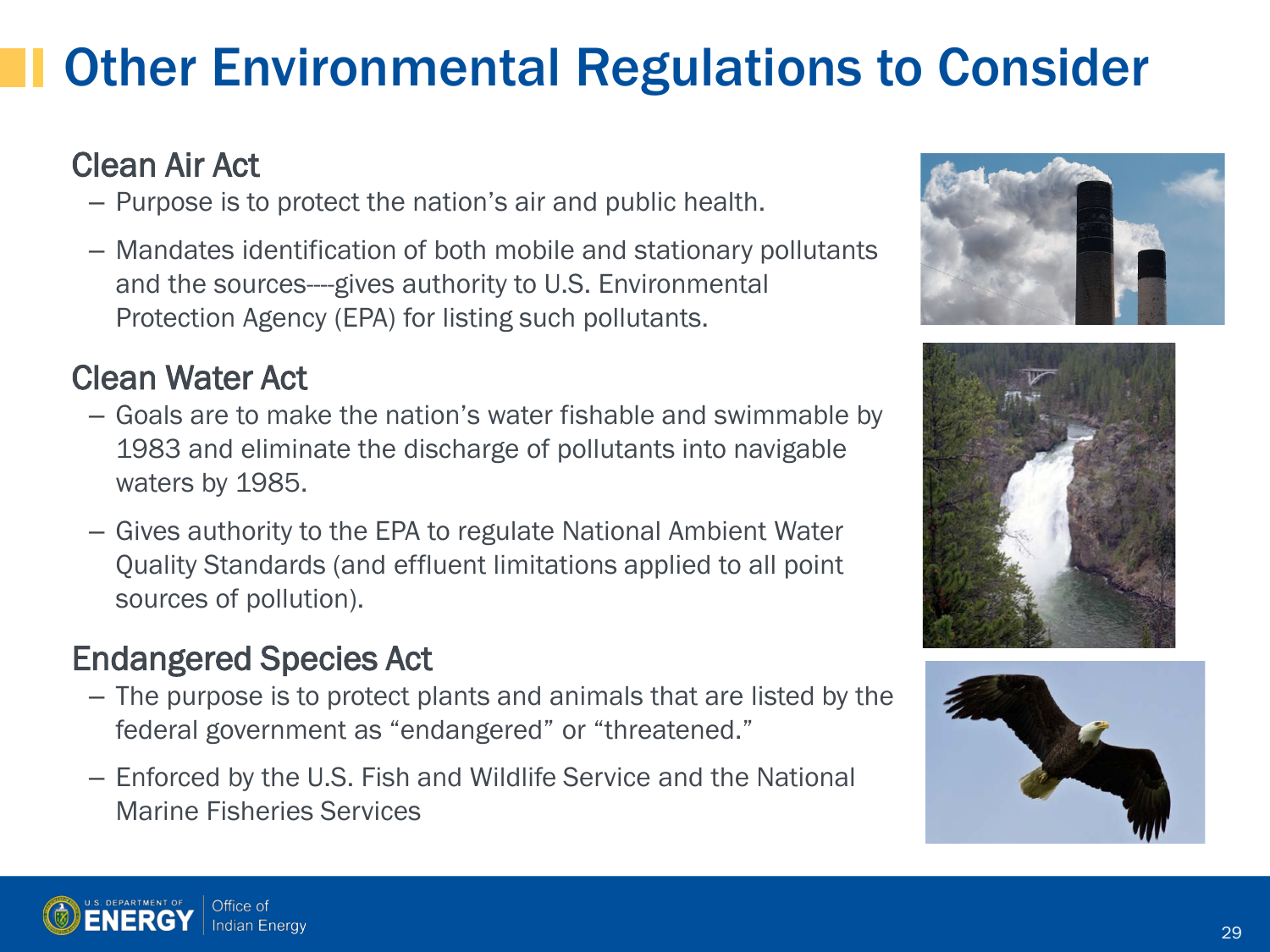## Other Environmental Regulations to Consider

#### Clean Air Act

- Purpose is to protect the nation's air and public health.
- Mandates identification of both mobile and stationary pollutants and the sources----gives authority to U.S. Environmental Protection Agency (EPA) for listing such pollutants.

#### Clean Water Act

- Goals are to make the nation's water fishable and swimmable by 1983 and eliminate the discharge of pollutants into navigable waters by 1985.
- Gives authority to the EPA to regulate National Ambient Water Quality Standards (and effluent limitations applied to all point sources of pollution).

#### Endangered Species Act

- The purpose is to protect plants and animals that are listed by the federal government as "endangered" or "threatened."
- Enforced by the U.S. Fish and Wildlife Service and the National Marine Fisheries Services







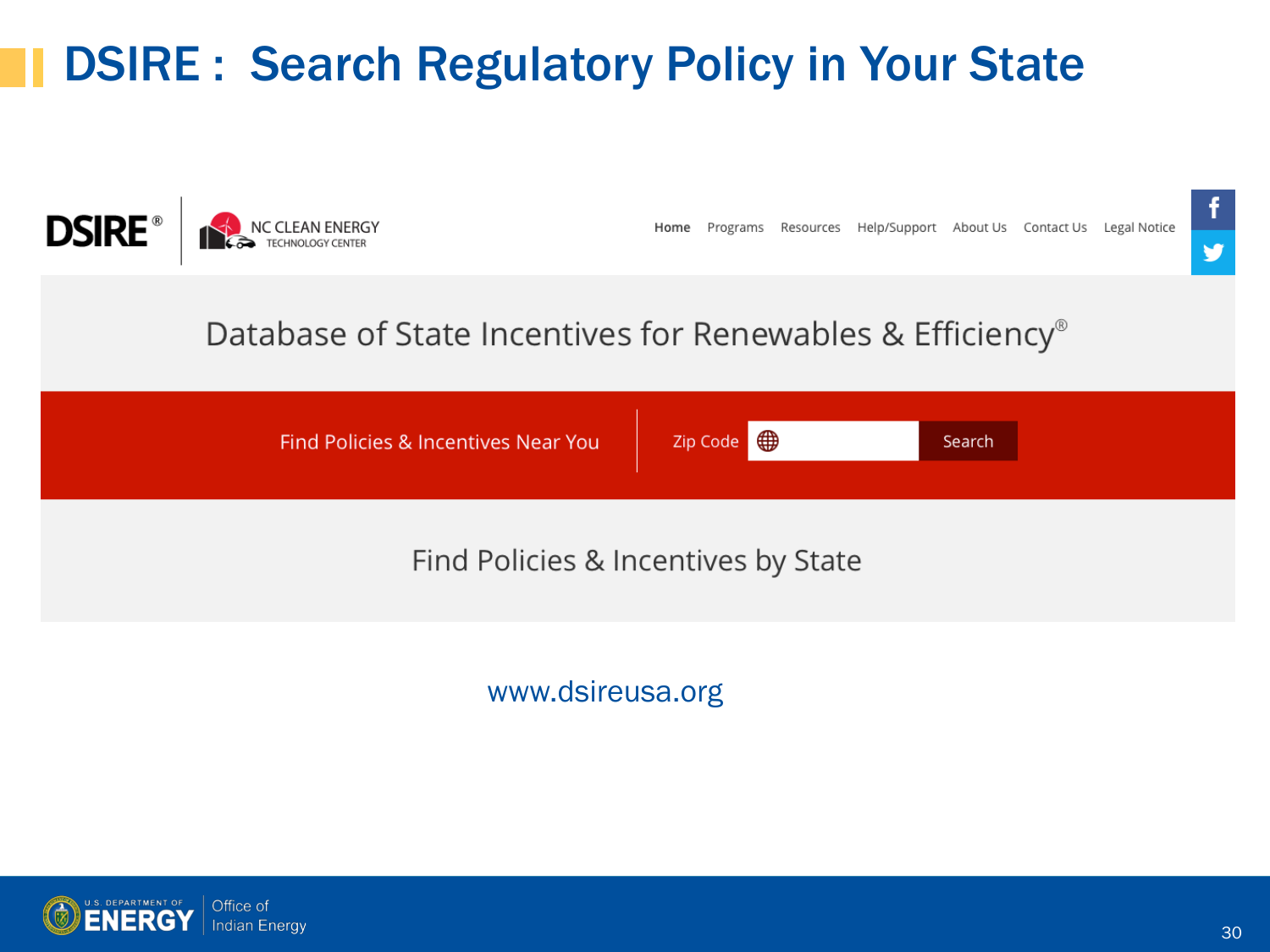### DSIRE : Search Regulatory Policy in Your State



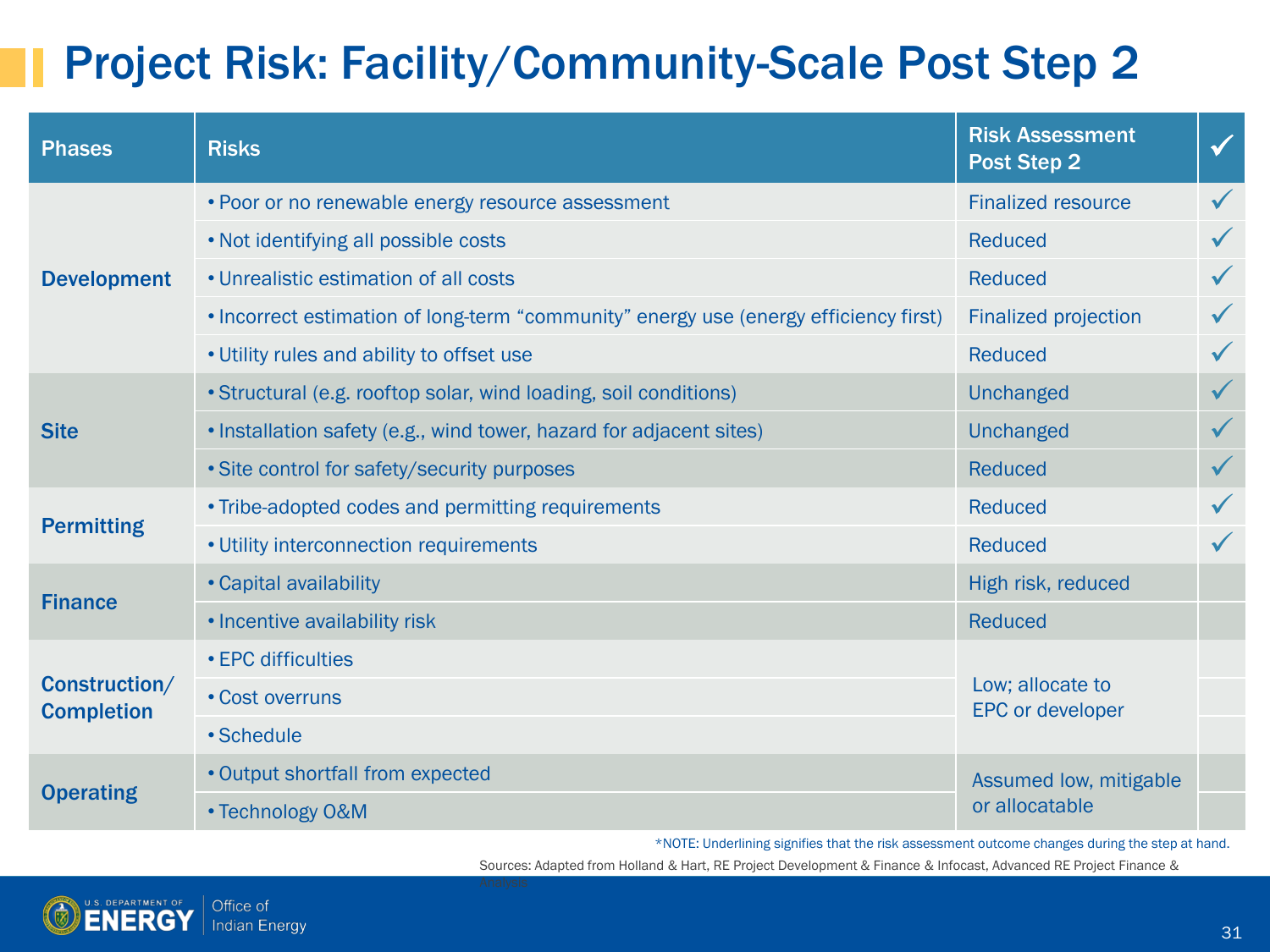#### Project Risk: Facility/Community-Scale Post Step 2

| <b>Phases</b>                      | <b>Risks</b>                                                                         | <b>Risk Assessment</b><br><b>Post Step 2</b> | $\checkmark$ |
|------------------------------------|--------------------------------------------------------------------------------------|----------------------------------------------|--------------|
| <b>Development</b>                 | . Poor or no renewable energy resource assessment                                    | <b>Finalized resource</b>                    |              |
|                                    | . Not identifying all possible costs                                                 | Reduced                                      |              |
|                                    | • Unrealistic estimation of all costs                                                | <b>Reduced</b>                               |              |
|                                    | . Incorrect estimation of long-term "community" energy use (energy efficiency first) | <b>Finalized projection</b>                  |              |
|                                    | . Utility rules and ability to offset use                                            | Reduced                                      |              |
| <b>Site</b>                        | • Structural (e.g. rooftop solar, wind loading, soil conditions)                     | <b>Unchanged</b>                             |              |
|                                    | . Installation safety (e.g., wind tower, hazard for adjacent sites)                  | <b>Unchanged</b>                             |              |
|                                    | • Site control for safety/security purposes                                          | <b>Reduced</b>                               |              |
|                                    | • Tribe-adopted codes and permitting requirements                                    | <b>Reduced</b>                               |              |
| <b>Permitting</b>                  | • Utility interconnection requirements                                               | <b>Reduced</b>                               |              |
| <b>Finance</b>                     | • Capital availability                                                               | High risk, reduced                           |              |
|                                    | • Incentive availability risk                                                        | <b>Reduced</b>                               |              |
| Construction/<br><b>Completion</b> | • EPC difficulties                                                                   |                                              |              |
|                                    | • Cost overruns                                                                      | Low; allocate to<br><b>EPC or developer</b>  |              |
|                                    | • Schedule                                                                           |                                              |              |
| <b>Operating</b>                   | • Output shortfall from expected                                                     | Assumed low, mitigable                       |              |
|                                    | • Technology O&M                                                                     | or allocatable                               |              |

\*NOTE: Underlining signifies that the risk assessment outcome changes during the step at hand.

Sources: Adapted from Holland & Hart, RE Project Development & Finance & Infocast, Advanced RE Project Finance &